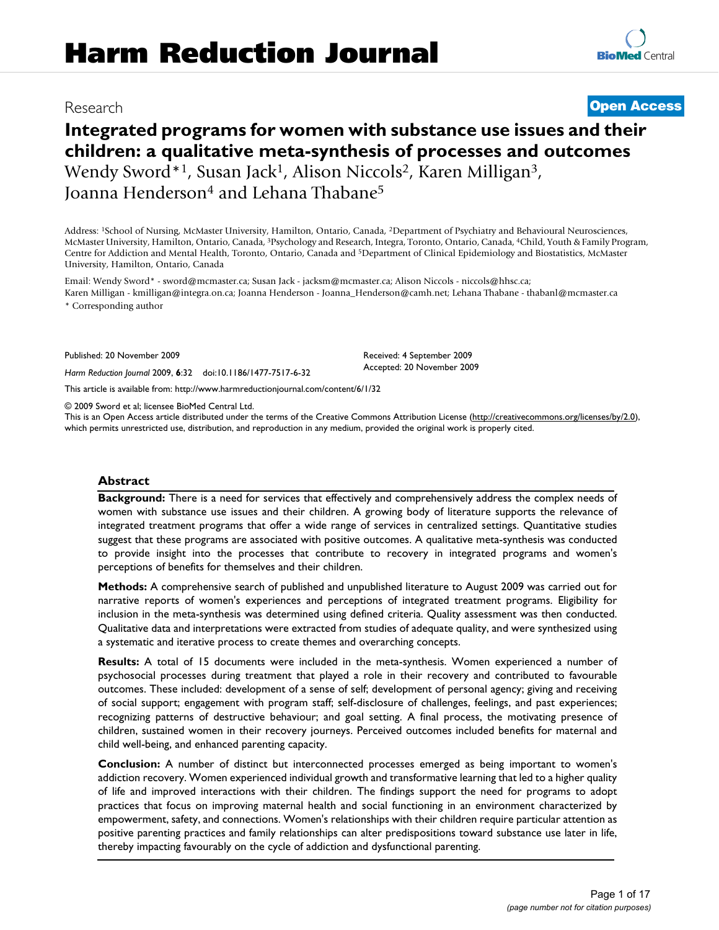# Research **[Open Access](http://www.biomedcentral.com/info/about/charter/)**

# **Integrated programs for women with substance use issues and their children: a qualitative meta-synthesis of processes and outcomes** Wendy Sword\*<sup>1</sup>, Susan Jack<sup>1</sup>, Alison Niccols<sup>2</sup>, Karen Milligan<sup>3</sup>, Joanna Henderson4 and Lehana Thabane5

Address: 1School of Nursing, McMaster University, Hamilton, Ontario, Canada, 2Department of Psychiatry and Behavioural Neurosciences, McMaster University, Hamilton, Ontario, Canada, 3Psychology and Research, Integra, Toronto, Ontario, Canada, 4Child, Youth & Family Program, Centre for Addiction and Mental Health, Toronto, Ontario, Canada and 5Department of Clinical Epidemiology and Biostatistics, McMaster University, Hamilton, Ontario, Canada

Email: Wendy Sword\* - sword@mcmaster.ca; Susan Jack - jacksm@mcmaster.ca; Alison Niccols - niccols@hhsc.ca; Karen Milligan - kmilligan@integra.on.ca; Joanna Henderson - Joanna\_Henderson@camh.net; Lehana Thabane - thabanl@mcmaster.ca \* Corresponding author

Published: 20 November 2009

*Harm Reduction Journal* 2009, **6**:32 doi:10.1186/1477-7517-6-32

[This article is available from: http://www.harmreductionjournal.com/content/6/1/32](http://www.harmreductionjournal.com/content/6/1/32)

© 2009 Sword et al; licensee BioMed Central Ltd.

This is an Open Access article distributed under the terms of the Creative Commons Attribution License [\(http://creativecommons.org/licenses/by/2.0\)](http://creativecommons.org/licenses/by/2.0), which permits unrestricted use, distribution, and reproduction in any medium, provided the original work is properly cited.

Received: 4 September 2009 Accepted: 20 November 2009

#### **Abstract**

**Background:** There is a need for services that effectively and comprehensively address the complex needs of women with substance use issues and their children. A growing body of literature supports the relevance of integrated treatment programs that offer a wide range of services in centralized settings. Quantitative studies suggest that these programs are associated with positive outcomes. A qualitative meta-synthesis was conducted to provide insight into the processes that contribute to recovery in integrated programs and women's perceptions of benefits for themselves and their children.

**Methods:** A comprehensive search of published and unpublished literature to August 2009 was carried out for narrative reports of women's experiences and perceptions of integrated treatment programs. Eligibility for inclusion in the meta-synthesis was determined using defined criteria. Quality assessment was then conducted. Qualitative data and interpretations were extracted from studies of adequate quality, and were synthesized using a systematic and iterative process to create themes and overarching concepts.

**Results:** A total of 15 documents were included in the meta-synthesis. Women experienced a number of psychosocial processes during treatment that played a role in their recovery and contributed to favourable outcomes. These included: development of a sense of self; development of personal agency; giving and receiving of social support; engagement with program staff; self-disclosure of challenges, feelings, and past experiences; recognizing patterns of destructive behaviour; and goal setting. A final process, the motivating presence of children, sustained women in their recovery journeys. Perceived outcomes included benefits for maternal and child well-being, and enhanced parenting capacity.

**Conclusion:** A number of distinct but interconnected processes emerged as being important to women's addiction recovery. Women experienced individual growth and transformative learning that led to a higher quality of life and improved interactions with their children. The findings support the need for programs to adopt practices that focus on improving maternal health and social functioning in an environment characterized by empowerment, safety, and connections. Women's relationships with their children require particular attention as positive parenting practices and family relationships can alter predispositions toward substance use later in life, thereby impacting favourably on the cycle of addiction and dysfunctional parenting.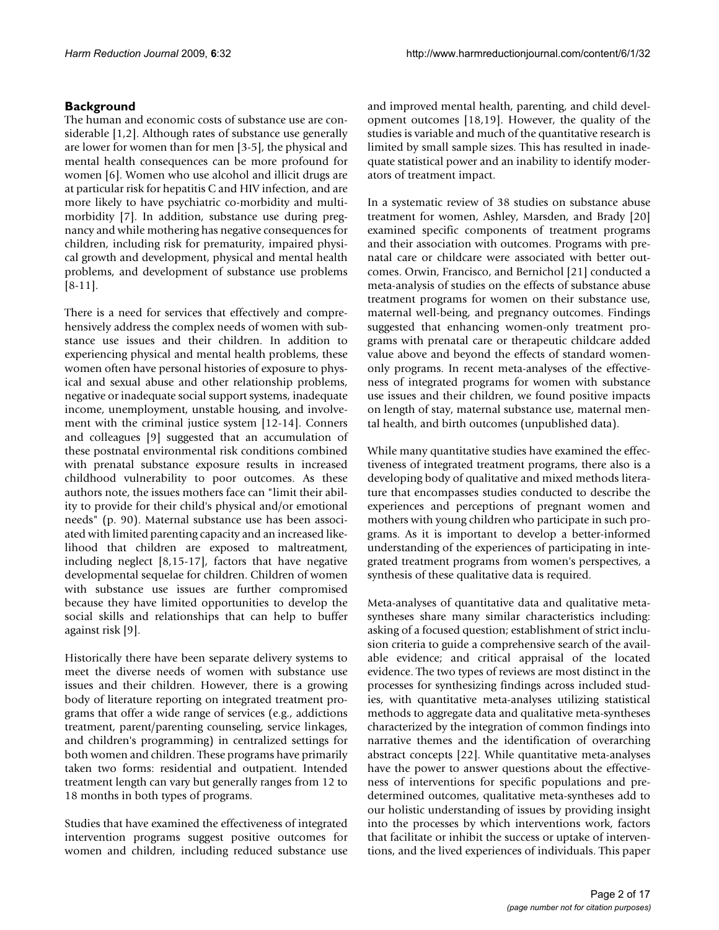# **Background**

The human and economic costs of substance use are considerable [\[1,](#page-14-0)[2\]](#page-14-1). Although rates of substance use generally are lower for women than for men [\[3-](#page-14-2)[5](#page-14-3)], the physical and mental health consequences can be more profound for women [[6](#page-14-4)]. Women who use alcohol and illicit drugs are at particular risk for hepatitis C and HIV infection, and are more likely to have psychiatric co-morbidity and multimorbidity [\[7\]](#page-14-5). In addition, substance use during pregnancy and while mothering has negative consequences for children, including risk for prematurity, impaired physical growth and development, physical and mental health problems, and development of substance use problems [[8-](#page-14-6)[11\]](#page-14-7).

There is a need for services that effectively and comprehensively address the complex needs of women with substance use issues and their children. In addition to experiencing physical and mental health problems, these women often have personal histories of exposure to physical and sexual abuse and other relationship problems, negative or inadequate social support systems, inadequate income, unemployment, unstable housing, and involvement with the criminal justice system [\[12-](#page-14-8)[14\]](#page-14-9). Conners and colleagues [\[9](#page-14-10)] suggested that an accumulation of these postnatal environmental risk conditions combined with prenatal substance exposure results in increased childhood vulnerability to poor outcomes. As these authors note, the issues mothers face can "limit their ability to provide for their child's physical and/or emotional needs" (p. 90). Maternal substance use has been associated with limited parenting capacity and an increased likelihood that children are exposed to maltreatment, including neglect [\[8](#page-14-6)[,15](#page-14-11)[-17](#page-14-12)], factors that have negative developmental sequelae for children. Children of women with substance use issues are further compromised because they have limited opportunities to develop the social skills and relationships that can help to buffer against risk [\[9\]](#page-14-10).

Historically there have been separate delivery systems to meet the diverse needs of women with substance use issues and their children. However, there is a growing body of literature reporting on integrated treatment programs that offer a wide range of services (e.g., addictions treatment, parent/parenting counseling, service linkages, and children's programming) in centralized settings for both women and children. These programs have primarily taken two forms: residential and outpatient. Intended treatment length can vary but generally ranges from 12 to 18 months in both types of programs.

Studies that have examined the effectiveness of integrated intervention programs suggest positive outcomes for women and children, including reduced substance use and improved mental health, parenting, and child development outcomes [[18,](#page-14-13)[19\]](#page-14-14). However, the quality of the studies is variable and much of the quantitative research is limited by small sample sizes. This has resulted in inadequate statistical power and an inability to identify moderators of treatment impact.

In a systematic review of 38 studies on substance abuse treatment for women, Ashley, Marsden, and Brady [[20\]](#page-15-0) examined specific components of treatment programs and their association with outcomes. Programs with prenatal care or childcare were associated with better outcomes. Orwin, Francisco, and Bernichol [\[21](#page-15-1)] conducted a meta-analysis of studies on the effects of substance abuse treatment programs for women on their substance use, maternal well-being, and pregnancy outcomes. Findings suggested that enhancing women-only treatment programs with prenatal care or therapeutic childcare added value above and beyond the effects of standard womenonly programs. In recent meta-analyses of the effectiveness of integrated programs for women with substance use issues and their children, we found positive impacts on length of stay, maternal substance use, maternal mental health, and birth outcomes (unpublished data).

While many quantitative studies have examined the effectiveness of integrated treatment programs, there also is a developing body of qualitative and mixed methods literature that encompasses studies conducted to describe the experiences and perceptions of pregnant women and mothers with young children who participate in such programs. As it is important to develop a better-informed understanding of the experiences of participating in integrated treatment programs from women's perspectives, a synthesis of these qualitative data is required.

Meta-analyses of quantitative data and qualitative metasyntheses share many similar characteristics including: asking of a focused question; establishment of strict inclusion criteria to guide a comprehensive search of the available evidence; and critical appraisal of the located evidence. The two types of reviews are most distinct in the processes for synthesizing findings across included studies, with quantitative meta-analyses utilizing statistical methods to aggregate data and qualitative meta-syntheses characterized by the integration of common findings into narrative themes and the identification of overarching abstract concepts [[22](#page-15-2)]. While quantitative meta-analyses have the power to answer questions about the effectiveness of interventions for specific populations and predetermined outcomes, qualitative meta-syntheses add to our holistic understanding of issues by providing insight into the processes by which interventions work, factors that facilitate or inhibit the success or uptake of interventions, and the lived experiences of individuals. This paper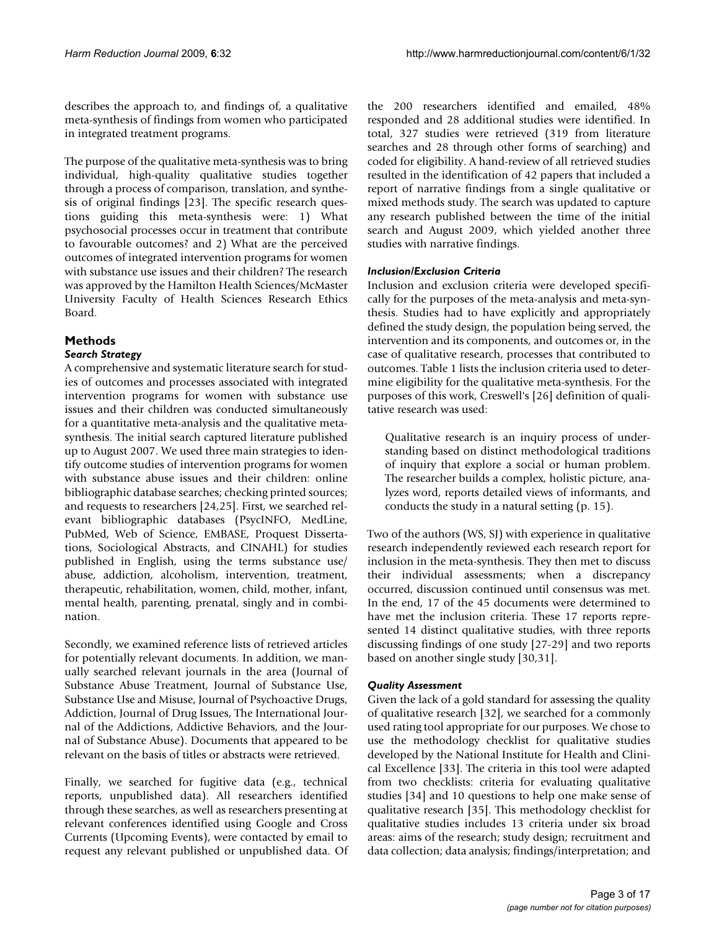describes the approach to, and findings of, a qualitative meta-synthesis of findings from women who participated in integrated treatment programs.

The purpose of the qualitative meta-synthesis was to bring individual, high-quality qualitative studies together through a process of comparison, translation, and synthesis of original findings [\[23](#page-15-3)]. The specific research questions guiding this meta-synthesis were: 1) What psychosocial processes occur in treatment that contribute to favourable outcomes? and 2) What are the perceived outcomes of integrated intervention programs for women with substance use issues and their children? The research was approved by the Hamilton Health Sciences/McMaster University Faculty of Health Sciences Research Ethics Board.

# **Methods**

# *Search Strategy*

A comprehensive and systematic literature search for studies of outcomes and processes associated with integrated intervention programs for women with substance use issues and their children was conducted simultaneously for a quantitative meta-analysis and the qualitative metasynthesis. The initial search captured literature published up to August 2007. We used three main strategies to identify outcome studies of intervention programs for women with substance abuse issues and their children: online bibliographic database searches; checking printed sources; and requests to researchers [\[24](#page-15-4),[25\]](#page-15-5). First, we searched relevant bibliographic databases (PsycINFO, MedLine, PubMed, Web of Science, EMBASE, Proquest Dissertations, Sociological Abstracts, and CINAHL) for studies published in English, using the terms substance use/ abuse, addiction, alcoholism, intervention, treatment, therapeutic, rehabilitation, women, child, mother, infant, mental health, parenting, prenatal, singly and in combination.

Secondly, we examined reference lists of retrieved articles for potentially relevant documents. In addition, we manually searched relevant journals in the area (Journal of Substance Abuse Treatment, Journal of Substance Use, Substance Use and Misuse, Journal of Psychoactive Drugs, Addiction, Journal of Drug Issues, The International Journal of the Addictions, Addictive Behaviors, and the Journal of Substance Abuse). Documents that appeared to be relevant on the basis of titles or abstracts were retrieved.

Finally, we searched for fugitive data (e.g., technical reports, unpublished data). All researchers identified through these searches, as well as researchers presenting at relevant conferences identified using Google and Cross Currents (Upcoming Events), were contacted by email to request any relevant published or unpublished data. Of the 200 researchers identified and emailed, 48% responded and 28 additional studies were identified. In total, 327 studies were retrieved (319 from literature searches and 28 through other forms of searching) and coded for eligibility. A hand-review of all retrieved studies resulted in the identification of 42 papers that included a report of narrative findings from a single qualitative or mixed methods study. The search was updated to capture any research published between the time of the initial search and August 2009, which yielded another three studies with narrative findings.

# *Inclusion/Exclusion Criteria*

Inclusion and exclusion criteria were developed specifically for the purposes of the meta-analysis and meta-synthesis. Studies had to have explicitly and appropriately defined the study design, the population being served, the intervention and its components, and outcomes or, in the case of qualitative research, processes that contributed to outcomes. Table [1](#page-3-0) lists the inclusion criteria used to determine eligibility for the qualitative meta-synthesis. For the purposes of this work, Creswell's [[26\]](#page-15-6) definition of qualitative research was used:

Qualitative research is an inquiry process of understanding based on distinct methodological traditions of inquiry that explore a social or human problem. The researcher builds a complex, holistic picture, analyzes word, reports detailed views of informants, and conducts the study in a natural setting (p. 15).

Two of the authors (WS, SJ) with experience in qualitative research independently reviewed each research report for inclusion in the meta-synthesis. They then met to discuss their individual assessments; when a discrepancy occurred, discussion continued until consensus was met. In the end, 17 of the 45 documents were determined to have met the inclusion criteria. These 17 reports represented 14 distinct qualitative studies, with three reports discussing findings of one study [[27-](#page-15-7)[29](#page-15-8)] and two reports based on another single study [[30,](#page-15-9)[31\]](#page-15-10).

# *Quality Assessment*

Given the lack of a gold standard for assessing the quality of qualitative research [\[32](#page-15-11)], we searched for a commonly used rating tool appropriate for our purposes. We chose to use the methodology checklist for qualitative studies developed by the National Institute for Health and Clinical Excellence [\[33](#page-15-12)]. The criteria in this tool were adapted from two checklists: criteria for evaluating qualitative studies [[34\]](#page-15-13) and 10 questions to help one make sense of qualitative research [[35\]](#page-15-14). This methodology checklist for qualitative studies includes 13 criteria under six broad areas: aims of the research; study design; recruitment and data collection; data analysis; findings/interpretation; and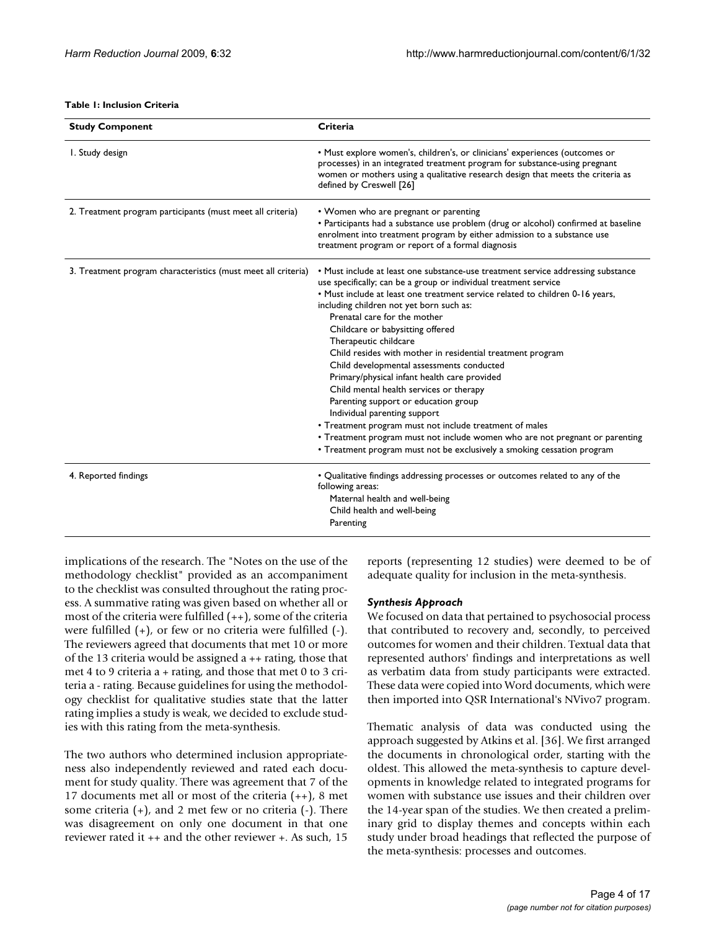#### <span id="page-3-0"></span>**Table 1: Inclusion Criteria**

| <b>Study Component</b>                                        | Criteria                                                                                                                                                                                                                                                                 |  |  |  |
|---------------------------------------------------------------|--------------------------------------------------------------------------------------------------------------------------------------------------------------------------------------------------------------------------------------------------------------------------|--|--|--|
| I. Study design                                               | · Must explore women's, children's, or clinicians' experiences (outcomes or<br>processes) in an integrated treatment program for substance-using pregnant<br>women or mothers using a qualitative research design that meets the criteria as<br>defined by Creswell [26] |  |  |  |
| 2. Treatment program participants (must meet all criteria)    | • Women who are pregnant or parenting                                                                                                                                                                                                                                    |  |  |  |
|                                                               | • Participants had a substance use problem (drug or alcohol) confirmed at baseline<br>enrolment into treatment program by either admission to a substance use<br>treatment program or report of a formal diagnosis                                                       |  |  |  |
| 3. Treatment program characteristics (must meet all criteria) | • Must include at least one substance-use treatment service addressing substance<br>use specifically; can be a group or individual treatment service                                                                                                                     |  |  |  |
|                                                               | . Must include at least one treatment service related to children 0-16 years,<br>including children not yet born such as:<br>Prenatal care for the mother                                                                                                                |  |  |  |
|                                                               | Childcare or babysitting offered                                                                                                                                                                                                                                         |  |  |  |
|                                                               | Therapeutic childcare                                                                                                                                                                                                                                                    |  |  |  |
|                                                               | Child resides with mother in residential treatment program                                                                                                                                                                                                               |  |  |  |
|                                                               | Child developmental assessments conducted                                                                                                                                                                                                                                |  |  |  |
|                                                               | Primary/physical infant health care provided                                                                                                                                                                                                                             |  |  |  |
|                                                               | Child mental health services or therapy                                                                                                                                                                                                                                  |  |  |  |
|                                                               | Parenting support or education group                                                                                                                                                                                                                                     |  |  |  |
|                                                               | Individual parenting support                                                                                                                                                                                                                                             |  |  |  |
|                                                               | • Treatment program must not include treatment of males                                                                                                                                                                                                                  |  |  |  |
|                                                               | • Treatment program must not include women who are not pregnant or parenting                                                                                                                                                                                             |  |  |  |
|                                                               | • Treatment program must not be exclusively a smoking cessation program                                                                                                                                                                                                  |  |  |  |
| 4. Reported findings                                          | • Qualitative findings addressing processes or outcomes related to any of the<br>following areas:                                                                                                                                                                        |  |  |  |
|                                                               | Maternal health and well-being                                                                                                                                                                                                                                           |  |  |  |
|                                                               | Child health and well-being                                                                                                                                                                                                                                              |  |  |  |
|                                                               | Parenting                                                                                                                                                                                                                                                                |  |  |  |

implications of the research. The "Notes on the use of the methodology checklist" provided as an accompaniment to the checklist was consulted throughout the rating process. A summative rating was given based on whether all or most of the criteria were fulfilled (++), some of the criteria were fulfilled (+), or few or no criteria were fulfilled (-). The reviewers agreed that documents that met 10 or more of the 13 criteria would be assigned a ++ rating, those that met 4 to 9 criteria a + rating, and those that met 0 to 3 criteria a - rating. Because guidelines for using the methodology checklist for qualitative studies state that the latter rating implies a study is weak, we decided to exclude studies with this rating from the meta-synthesis.

The two authors who determined inclusion appropriateness also independently reviewed and rated each document for study quality. There was agreement that 7 of the 17 documents met all or most of the criteria (++), 8 met some criteria (+), and 2 met few or no criteria (-). There was disagreement on only one document in that one reviewer rated it ++ and the other reviewer +. As such, 15

reports (representing 12 studies) were deemed to be of adequate quality for inclusion in the meta-synthesis.

#### *Synthesis Approach*

We focused on data that pertained to psychosocial process that contributed to recovery and, secondly, to perceived outcomes for women and their children. Textual data that represented authors' findings and interpretations as well as verbatim data from study participants were extracted. These data were copied into Word documents, which were then imported into QSR International's NVivo7 program.

Thematic analysis of data was conducted using the approach suggested by Atkins et al. [\[36\]](#page-15-15). We first arranged the documents in chronological order, starting with the oldest. This allowed the meta-synthesis to capture developments in knowledge related to integrated programs for women with substance use issues and their children over the 14-year span of the studies. We then created a preliminary grid to display themes and concepts within each study under broad headings that reflected the purpose of the meta-synthesis: processes and outcomes.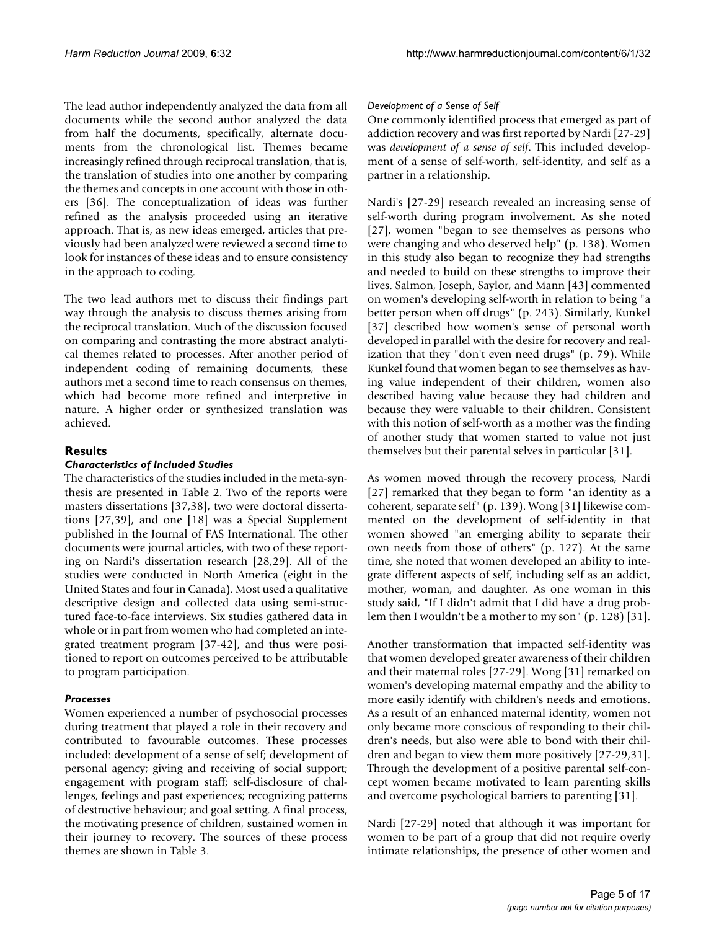The lead author independently analyzed the data from all documents while the second author analyzed the data from half the documents, specifically, alternate documents from the chronological list. Themes became increasingly refined through reciprocal translation, that is, the translation of studies into one another by comparing the themes and concepts in one account with those in others [[36](#page-15-15)]. The conceptualization of ideas was further refined as the analysis proceeded using an iterative approach. That is, as new ideas emerged, articles that previously had been analyzed were reviewed a second time to look for instances of these ideas and to ensure consistency in the approach to coding.

The two lead authors met to discuss their findings part way through the analysis to discuss themes arising from the reciprocal translation. Much of the discussion focused on comparing and contrasting the more abstract analytical themes related to processes. After another period of independent coding of remaining documents, these authors met a second time to reach consensus on themes, which had become more refined and interpretive in nature. A higher order or synthesized translation was achieved.

# **Results**

### *Characteristics of Included Studies*

The characteristics of the studies included in the meta-synthesis are presented in Table [2.](#page-5-0) Two of the reports were masters dissertations [\[37](#page-15-16)[,38](#page-15-17)], two were doctoral dissertations [\[27](#page-15-7)[,39](#page-15-18)], and one [[18\]](#page-14-13) was a Special Supplement published in the Journal of FAS International. The other documents were journal articles, with two of these reporting on Nardi's dissertation research [[28,](#page-15-19)[29\]](#page-15-8). All of the studies were conducted in North America (eight in the United States and four in Canada). Most used a qualitative descriptive design and collected data using semi-structured face-to-face interviews. Six studies gathered data in whole or in part from women who had completed an integrated treatment program [[37-](#page-15-16)[42\]](#page-15-20), and thus were positioned to report on outcomes perceived to be attributable to program participation.

# *Processes*

Women experienced a number of psychosocial processes during treatment that played a role in their recovery and contributed to favourable outcomes. These processes included: development of a sense of self; development of personal agency; giving and receiving of social support; engagement with program staff; self-disclosure of challenges, feelings and past experiences; recognizing patterns of destructive behaviour; and goal setting. A final process, the motivating presence of children, sustained women in their journey to recovery. The sources of these process themes are shown in Table [3.](#page-8-0)

# *Development of a Sense of Self*

One commonly identified process that emerged as part of addiction recovery and was first reported by Nardi [[27-](#page-15-7)[29\]](#page-15-8) was *development of a sense of self*. This included development of a sense of self-worth, self-identity, and self as a partner in a relationship.

Nardi's [\[27](#page-15-7)[-29](#page-15-8)] research revealed an increasing sense of self-worth during program involvement. As she noted [[27](#page-15-7)], women "began to see themselves as persons who were changing and who deserved help" (p. 138). Women in this study also began to recognize they had strengths and needed to build on these strengths to improve their lives. Salmon, Joseph, Saylor, and Mann [[43\]](#page-15-21) commented on women's developing self-worth in relation to being "a better person when off drugs" (p. 243). Similarly, Kunkel [[37](#page-15-16)] described how women's sense of personal worth developed in parallel with the desire for recovery and realization that they "don't even need drugs" (p. 79). While Kunkel found that women began to see themselves as having value independent of their children, women also described having value because they had children and because they were valuable to their children. Consistent with this notion of self-worth as a mother was the finding of another study that women started to value not just themselves but their parental selves in particular [\[31\]](#page-15-10).

As women moved through the recovery process, Nardi [[27](#page-15-7)] remarked that they began to form "an identity as a coherent, separate self" (p. 139). Wong [[31](#page-15-10)] likewise commented on the development of self-identity in that women showed "an emerging ability to separate their own needs from those of others" (p. 127). At the same time, she noted that women developed an ability to integrate different aspects of self, including self as an addict, mother, woman, and daughter. As one woman in this study said, "If I didn't admit that I did have a drug problem then I wouldn't be a mother to my son" (p. 128) [\[31](#page-15-10)].

Another transformation that impacted self-identity was that women developed greater awareness of their children and their maternal roles [[27-](#page-15-7)[29](#page-15-8)]. Wong [[31\]](#page-15-10) remarked on women's developing maternal empathy and the ability to more easily identify with children's needs and emotions. As a result of an enhanced maternal identity, women not only became more conscious of responding to their children's needs, but also were able to bond with their children and began to view them more positively [[27-](#page-15-7)[29,](#page-15-8)[31](#page-15-10)]. Through the development of a positive parental self-concept women became motivated to learn parenting skills and overcome psychological barriers to parenting [[31\]](#page-15-10).

Nardi [\[27](#page-15-7)[-29](#page-15-8)] noted that although it was important for women to be part of a group that did not require overly intimate relationships, the presence of other women and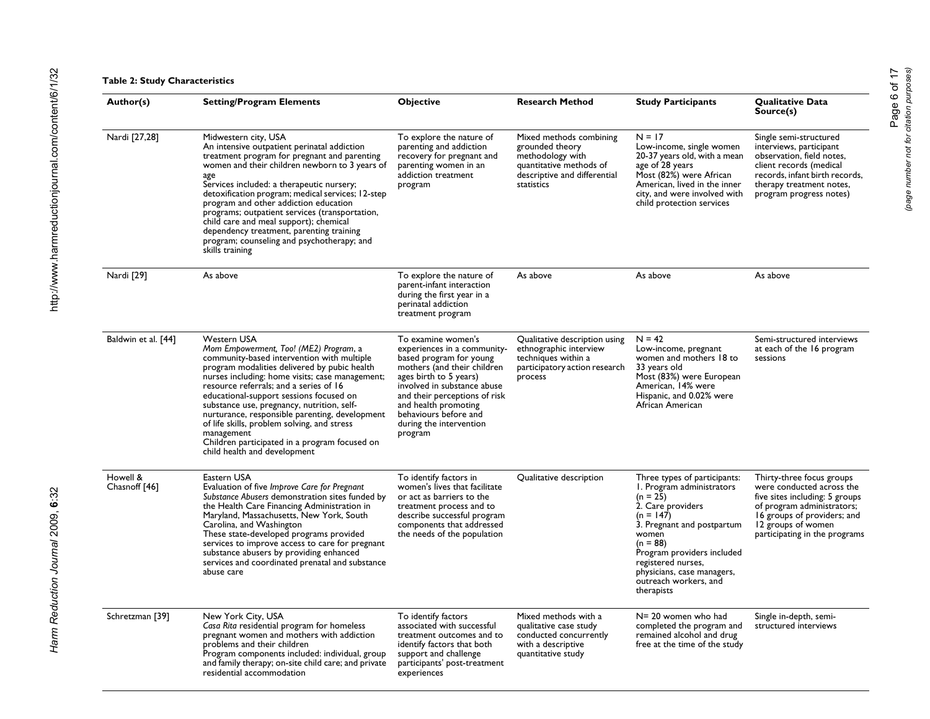#### **Table 2: Study Characteristics**

<span id="page-5-0"></span>

| Author(s)                 | <b>Setting/Program Elements</b>                                                                                                                                                                                                                                                                                                                                                                                                                                                                                                           | <b>Objective</b>                                                                                                                                                                                                                                                                             | <b>Research Method</b>                                                                                                                  | <b>Study Participants</b>                                                                                                                                                                                                                                                                 | <b>Qualitative Data</b><br>Source(s)                                                                                                                                                                         |
|---------------------------|-------------------------------------------------------------------------------------------------------------------------------------------------------------------------------------------------------------------------------------------------------------------------------------------------------------------------------------------------------------------------------------------------------------------------------------------------------------------------------------------------------------------------------------------|----------------------------------------------------------------------------------------------------------------------------------------------------------------------------------------------------------------------------------------------------------------------------------------------|-----------------------------------------------------------------------------------------------------------------------------------------|-------------------------------------------------------------------------------------------------------------------------------------------------------------------------------------------------------------------------------------------------------------------------------------------|--------------------------------------------------------------------------------------------------------------------------------------------------------------------------------------------------------------|
| Nardi [27,28]             | Midwestern city, USA<br>An intensive outpatient perinatal addiction<br>treatment program for pregnant and parenting<br>women and their children newborn to 3 years of<br>age<br>Services included: a therapeutic nursery;<br>detoxification program; medical services; 12-step<br>program and other addiction education<br>programs; outpatient services (transportation,<br>child care and meal support); chemical<br>dependency treatment, parenting training<br>program; counseling and psychotherapy; and<br>skills training          | To explore the nature of<br>parenting and addiction<br>recovery for pregnant and<br>parenting women in an<br>addiction treatment<br>program                                                                                                                                                  | Mixed methods combining<br>grounded theory<br>methodology with<br>quantitative methods of<br>descriptive and differential<br>statistics | $N = 17$<br>Low-income, single women<br>20-37 years old, with a mean<br>age of 28 years<br>Most (82%) were African<br>American, lived in the inner<br>city, and were involved with<br>child protection services                                                                           | Single semi-structured<br>interviews, participant<br>observation, field notes,<br>client records (medical<br>records, infant birth records,<br>therapy treatment notes,<br>program progress notes)           |
| Nardi [29]                | As above                                                                                                                                                                                                                                                                                                                                                                                                                                                                                                                                  | To explore the nature of<br>parent-infant interaction<br>during the first year in a<br>perinatal addiction<br>treatment program                                                                                                                                                              | As above                                                                                                                                | As above                                                                                                                                                                                                                                                                                  | As above                                                                                                                                                                                                     |
| Baldwin et al. [44]       | Western USA<br>Mom Empowerment, Too! (ME2) Program, a<br>community-based intervention with multiple<br>program modalities delivered by pubic health<br>nurses including: home visits; case management;<br>resource referrals; and a series of 16<br>educational-support sessions focused on<br>substance use, pregnancy, nutrition, self-<br>nurturance, responsible parenting, development<br>of life skills, problem solving, and stress<br>management<br>Children participated in a program focused on<br>child health and development | To examine women's<br>experiences in a community-<br>based program for young<br>mothers (and their children<br>ages birth to 5 years)<br>involved in substance abuse<br>and their perceptions of risk<br>and health promoting<br>behaviours before and<br>during the intervention<br>program | Qualitative description using<br>ethnographic interview<br>techniques within a<br>participatory action research<br>process              | $N = 42$<br>Low-income, pregnant<br>women and mothers 18 to<br>33 years old<br>Most (83%) were European<br>American, 14% were<br>Hispanic, and 0.02% were<br>African American                                                                                                             | Semi-structured interviews<br>at each of the 16 program<br>sessions                                                                                                                                          |
| Howell &<br>Chasnoff [46] | Eastern USA<br>Evaluation of five Improve Care for Pregnant<br>Substance Abusers demonstration sites funded by<br>the Health Care Financing Administration in<br>Maryland, Massachusetts, New York, South<br>Carolina, and Washington<br>These state-developed programs provided<br>services to improve access to care for pregnant<br>substance abusers by providing enhanced<br>services and coordinated prenatal and substance<br>abuse care                                                                                           | To identify factors in<br>women's lives that facilitate<br>or act as barriers to the<br>treatment process and to<br>describe successful program<br>components that addressed<br>the needs of the population                                                                                  | Qualitative description                                                                                                                 | Three types of participants:<br>I. Program administrators<br>$(n = 25)$<br>2. Care providers<br>$(n = 147)$<br>3. Pregnant and postpartum<br>women<br>$(n = 88)$<br>Program providers included<br>registered nurses,<br>physicians, case managers,<br>outreach workers, and<br>therapists | Thirty-three focus groups<br>were conducted across the<br>five sites including: 5 groups<br>of program administrators;<br>16 groups of providers; and<br>12 groups of women<br>participating in the programs |
| Schretzman [39]           | New York City, USA<br>Casa Rita residential program for homeless<br>pregnant women and mothers with addiction<br>problems and their children<br>Program components included: individual, group<br>and family therapy; on-site child care; and private<br>residential accommodation                                                                                                                                                                                                                                                        | To identify factors<br>associated with successful<br>treatment outcomes and to<br>identify factors that both<br>support and challenge<br>participants' post-treatment<br>experiences                                                                                                         | Mixed methods with a<br>qualitative case study<br>conducted concurrently<br>with a descriptive<br>quantitative study                    | N= 20 women who had<br>completed the program and<br>remained alcohol and drug<br>free at the time of the study                                                                                                                                                                            | Single in-depth, semi-<br>structured interviews                                                                                                                                                              |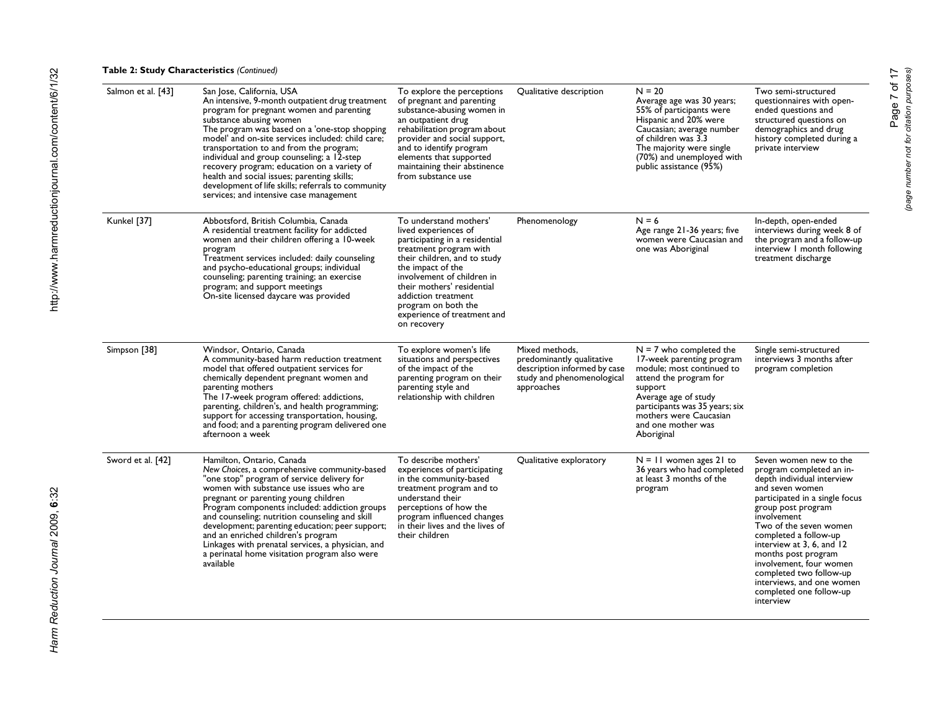# **Table 2: Study Characteristics** *(Continued)*

| Salmon et al. [43] | San Jose, California, USA<br>An intensive, 9-month outpatient drug treatment<br>program for pregnant women and parenting<br>substance abusing women<br>The program was based on a 'one-stop shopping<br>model' and on-site services included: child care;<br>transportation to and from the program;<br>individual and group counseling; a 12-step<br>recovery program; education on a variety of<br>health and social issues; parenting skills;<br>development of life skills; referrals to community<br>services; and intensive case management | To explore the perceptions<br>of pregnant and parenting<br>substance-abusing women in<br>an outpatient drug<br>rehabilitation program about<br>provider and social support,<br>and to identify program<br>elements that supported<br>maintaining their abstinence<br>from substance use                                 | Qualitative description                                                                                                 | $N = 20$<br>Average age was 30 years;<br>55% of participants were<br>Hispanic and 20% were<br>Caucasian; average number<br>of children was 3.3<br>The majority were single<br>(70%) and unemployed with<br>public assistance (95%)               | Two semi-structured<br>questionnaires with open-<br>ended questions and<br>structured questions on<br>demographics and drug<br>history completed during a<br>private interview                                                                                                                                                                                                                               |
|--------------------|---------------------------------------------------------------------------------------------------------------------------------------------------------------------------------------------------------------------------------------------------------------------------------------------------------------------------------------------------------------------------------------------------------------------------------------------------------------------------------------------------------------------------------------------------|-------------------------------------------------------------------------------------------------------------------------------------------------------------------------------------------------------------------------------------------------------------------------------------------------------------------------|-------------------------------------------------------------------------------------------------------------------------|--------------------------------------------------------------------------------------------------------------------------------------------------------------------------------------------------------------------------------------------------|--------------------------------------------------------------------------------------------------------------------------------------------------------------------------------------------------------------------------------------------------------------------------------------------------------------------------------------------------------------------------------------------------------------|
| Kunkel [37]        | Abbotsford, British Columbia, Canada<br>A residential treatment facility for addicted<br>women and their children offering a 10-week<br>program<br>Treatment services included: daily counseling<br>and psycho-educational groups; individual<br>counseling; parenting training; an exercise<br>program; and support meetings<br>On-site licensed daycare was provided                                                                                                                                                                            | To understand mothers'<br>lived experiences of<br>participating in a residential<br>treatment program with<br>their children, and to study<br>the impact of the<br>involvement of children in<br>their mothers' residential<br>addiction treatment<br>program on both the<br>experience of treatment and<br>on recovery | Phenomenology                                                                                                           | $N = 6$<br>Age range 21-36 years; five<br>women were Caucasian and<br>one was Aboriginal                                                                                                                                                         | In-depth, open-ended<br>interviews during week 8 of<br>the program and a follow-up<br>interview I month following<br>treatment discharge                                                                                                                                                                                                                                                                     |
| Simpson [38]       | Windsor, Ontario, Canada<br>A community-based harm reduction treatment<br>model that offered outpatient services for<br>chemically dependent pregnant women and<br>parenting mothers<br>The 17-week program offered: addictions,<br>parenting, children's, and health programming;<br>support for accessing transportation, housing,<br>and food; and a parenting program delivered one<br>afternoon a week                                                                                                                                       | To explore women's life<br>situations and perspectives<br>of the impact of the<br>parenting program on their<br>parenting style and<br>relationship with children                                                                                                                                                       | Mixed methods,<br>predominantly qualitative<br>description informed by case<br>study and phenomenological<br>approaches | $N = 7$ who completed the<br>17-week parenting program<br>module; most continued to<br>attend the program for<br>support<br>Average age of study<br>participants was 35 years; six<br>mothers were Caucasian<br>and one mother was<br>Aboriginal | Single semi-structured<br>interviews 3 months after<br>program completion                                                                                                                                                                                                                                                                                                                                    |
| Sword et al. [42]  | Hamilton, Ontario, Canada<br>New Choices, a comprehensive community-based<br>"one stop" program of service delivery for<br>women with substance use issues who are<br>pregnant or parenting young children<br>Program components included: addiction groups<br>and counseling; nutrition counseling and skill<br>development; parenting education; peer support;<br>and an enriched children's program<br>Linkages with prenatal services, a physician, and<br>a perinatal home visitation program also were<br>available                         | To describe mothers'<br>experiences of participating<br>in the community-based<br>treatment program and to<br>understand their<br>perceptions of how the<br>program influenced changes<br>in their lives and the lives of<br>their children                                                                             | Qualitative exploratory                                                                                                 | $N = 11$ women ages 21 to<br>36 years who had completed<br>at least 3 months of the<br>program                                                                                                                                                   | Seven women new to the<br>program completed an in-<br>depth individual interview<br>and seven women<br>participated in a single focus<br>group post program<br>involvement<br>Two of the seven women<br>completed a follow-up<br>interview at 3, 6, and 12<br>months post program<br>involvement, four women<br>completed two follow-up<br>interviews, and one women<br>completed one follow-up<br>interview |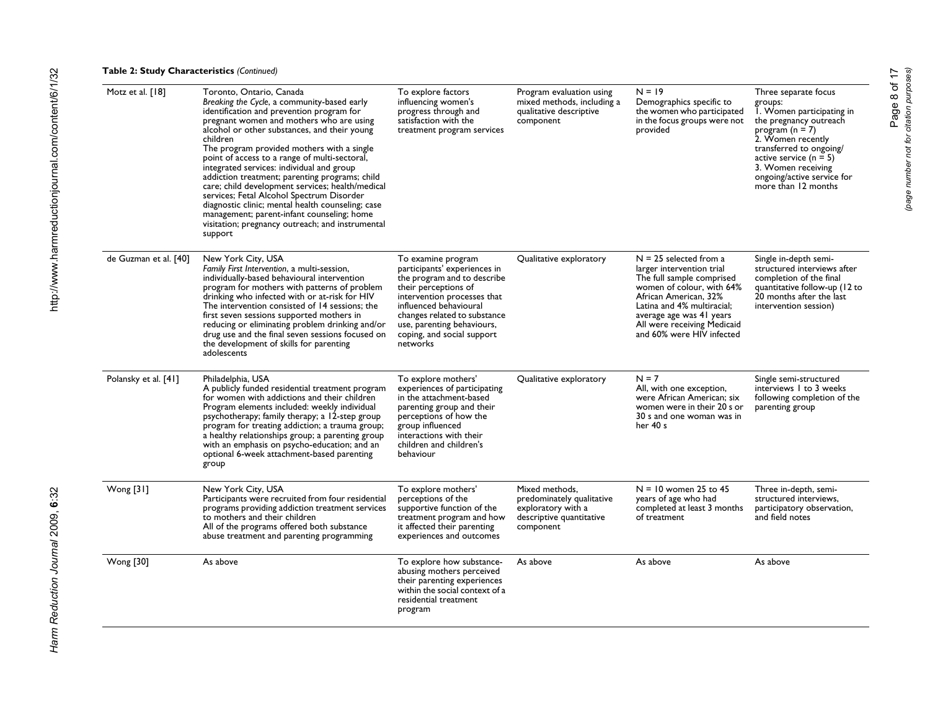# **Table 2: Study Characteristics** *(Continued)*

| Motz et al. [18]      | Toronto, Ontario, Canada<br>Breaking the Cycle, a community-based early<br>identification and prevention program for<br>pregnant women and mothers who are using<br>alcohol or other substances, and their young<br>children<br>The program provided mothers with a single<br>point of access to a range of multi-sectoral,<br>integrated services: individual and group<br>addiction treatment; parenting programs; child<br>care; child development services; health/medical<br>services; Fetal Alcohol Spectrum Disorder<br>diagnostic clinic; mental health counseling; case<br>management; parent-infant counseling; home<br>visitation; pregnancy outreach; and instrumental<br>support | To explore factors<br>influencing women's<br>progress through and<br>satisfaction with the<br>treatment program services                                                                                                                                                   | Program evaluation using<br>mixed methods, including a<br>qualitative descriptive<br>component             | $N = 19$<br>Demographics specific to<br>the women who participated<br>in the focus groups were not<br>provided                                                                                                                                                 | Three separate focus<br>groups:<br>I. Women participating in<br>the pregnancy outreach<br>program $(n = 7)$<br>2. Women recently<br>transferred to ongoing/<br>active service $(n = 5)$<br>3. Women receiving<br>ongoing/active service for<br>more than 12 months |
|-----------------------|-----------------------------------------------------------------------------------------------------------------------------------------------------------------------------------------------------------------------------------------------------------------------------------------------------------------------------------------------------------------------------------------------------------------------------------------------------------------------------------------------------------------------------------------------------------------------------------------------------------------------------------------------------------------------------------------------|----------------------------------------------------------------------------------------------------------------------------------------------------------------------------------------------------------------------------------------------------------------------------|------------------------------------------------------------------------------------------------------------|----------------------------------------------------------------------------------------------------------------------------------------------------------------------------------------------------------------------------------------------------------------|--------------------------------------------------------------------------------------------------------------------------------------------------------------------------------------------------------------------------------------------------------------------|
| de Guzman et al. [40] | New York City, USA<br>Family First Intervention, a multi-session,<br>individually-based behavioural intervention<br>program for mothers with patterns of problem<br>drinking who infected with or at-risk for HIV<br>The intervention consisted of 14 sessions; the<br>first seven sessions supported mothers in<br>reducing or eliminating problem drinking and/or<br>drug use and the final seven sessions focused on<br>the development of skills for parenting<br>adolescents                                                                                                                                                                                                             | To examine program<br>participants' experiences in<br>the program and to describe<br>their perceptions of<br>intervention processes that<br>influenced behavioural<br>changes related to substance<br>use, parenting behaviours,<br>coping, and social support<br>networks | Qualitative exploratory                                                                                    | $N = 25$ selected from a<br>larger intervention trial<br>The full sample comprised<br>women of colour, with 64%<br>African American, 32%<br>Latina and 4% multiracial:<br>average age was 41 years<br>All were receiving Medicaid<br>and 60% were HIV infected | Single in-depth semi-<br>structured interviews after<br>completion of the final<br>quantitative follow-up (12 to<br>20 months after the last<br>intervention session)                                                                                              |
| Polansky et al. [41]  | Philadelphia, USA<br>A publicly funded residential treatment program<br>for women with addictions and their children<br>Program elements included: weekly individual<br>psychotherapy; family therapy; a 12-step group<br>program for treating addiction; a trauma group;<br>a healthy relationships group; a parenting group<br>with an emphasis on psycho-education; and an<br>optional 6-week attachment-based parenting<br>group                                                                                                                                                                                                                                                          | To explore mothers'<br>experiences of participating<br>in the attachment-based<br>parenting group and their<br>perceptions of how the<br>group influenced<br>interactions with their<br>children and children's<br>behaviour                                               | Qualitative exploratory                                                                                    | $N = 7$<br>All, with one exception,<br>were African American; six<br>women were in their 20 s or<br>30 s and one woman was in<br>her 40 s                                                                                                                      | Single semi-structured<br>interviews 1 to 3 weeks<br>following completion of the<br>parenting group                                                                                                                                                                |
| Wong [31]             | New York City, USA<br>Participants were recruited from four residential<br>programs providing addiction treatment services<br>to mothers and their children<br>All of the programs offered both substance<br>abuse treatment and parenting programming                                                                                                                                                                                                                                                                                                                                                                                                                                        | To explore mothers'<br>perceptions of the<br>supportive function of the<br>treatment program and how<br>it affected their parenting<br>experiences and outcomes                                                                                                            | Mixed methods,<br>predominately qualitative<br>exploratory with a<br>descriptive quantitative<br>component | $N = 10$ women 25 to 45<br>years of age who had<br>completed at least 3 months<br>of treatment                                                                                                                                                                 | Three in-depth, semi-<br>structured interviews,<br>participatory observation,<br>and field notes                                                                                                                                                                   |
| <b>Wong</b> [30]      | As above                                                                                                                                                                                                                                                                                                                                                                                                                                                                                                                                                                                                                                                                                      | To explore how substance-<br>abusing mothers perceived<br>their parenting experiences<br>within the social context of a<br>residential treatment<br>program                                                                                                                | As above                                                                                                   | As above                                                                                                                                                                                                                                                       | As above                                                                                                                                                                                                                                                           |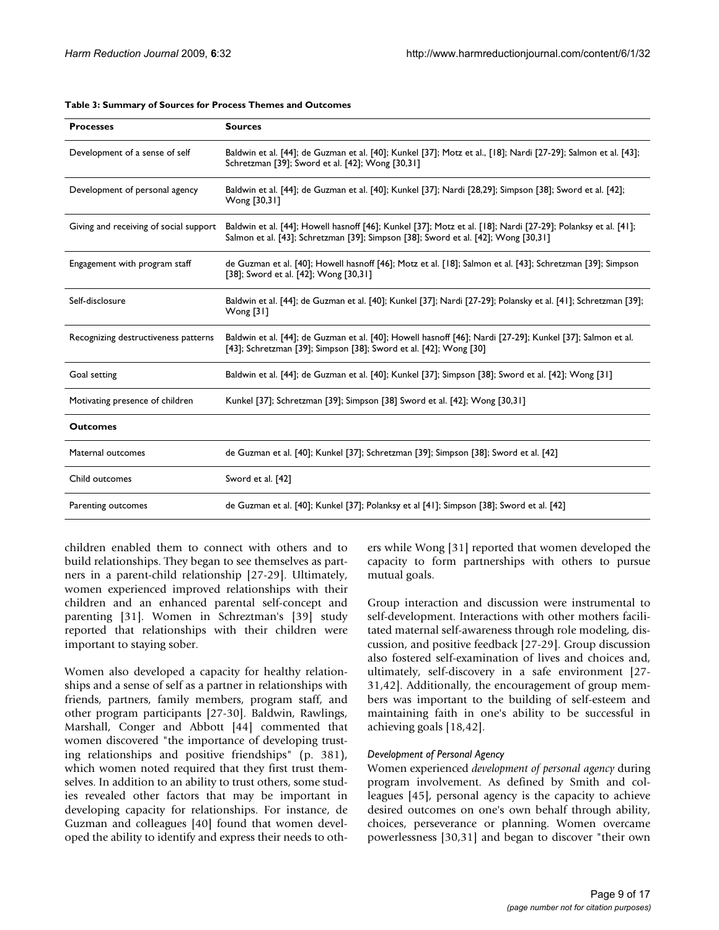| <b>Processes</b>                       | <b>Sources</b>                                                                                                                                                                                      |
|----------------------------------------|-----------------------------------------------------------------------------------------------------------------------------------------------------------------------------------------------------|
| Development of a sense of self         | Baldwin et al. [44]; de Guzman et al. [40]; Kunkel [37]; Motz et al., [18]; Nardi [27-29]; Salmon et al. [43];<br>Schretzman [39]; Sword et al. [42]; Wong [30,31]                                  |
| Development of personal agency         | Baldwin et al. [44]; de Guzman et al. [40]; Kunkel [37]; Nardi [28,29]; Simpson [38]; Sword et al. [42];<br>Wong [30,31]                                                                            |
| Giving and receiving of social support | Baldwin et al. [44]; Howell hasnoff [46]; Kunkel [37]; Motz et al. [18]; Nardi [27-29]; Polanksy et al. [41];<br>Salmon et al. [43]; Schretzman [39]; Simpson [38]; Sword et al. [42]; Wong [30,31] |
| Engagement with program staff          | de Guzman et al. [40]; Howell hasnoff [46]; Motz et al. [18]; Salmon et al. [43]; Schretzman [39]; Simpson<br>[38]; Sword et al. [42]; Wong [30,31]                                                 |
| Self-disclosure                        | Baldwin et al. [44]; de Guzman et al. [40]; Kunkel [37]; Nardi [27-29]; Polansky et al. [41]; Schretzman [39];<br>Wong $[31]$                                                                       |
| Recognizing destructiveness patterns   | Baldwin et al. [44]; de Guzman et al. [40]; Howell hasnoff [46]; Nardi [27-29]; Kunkel [37]; Salmon et al.<br>[43]; Schretzman [39]; Simpson [38]; Sword et al. [42]; Wong [30]                     |
| Goal setting                           | Baldwin et al. [44]; de Guzman et al. [40]; Kunkel [37]; Simpson [38]; Sword et al. [42]; Wong [31]                                                                                                 |
| Motivating presence of children        | Kunkel [37]; Schretzman [39]; Simpson [38] Sword et al. [42]; Wong [30,31]                                                                                                                          |
| <b>Outcomes</b>                        |                                                                                                                                                                                                     |
| Maternal outcomes                      | de Guzman et al. [40]; Kunkel [37]; Schretzman [39]; Simpson [38]; Sword et al. [42]                                                                                                                |
| Child outcomes                         | Sword et al. [42]                                                                                                                                                                                   |
| Parenting outcomes                     | de Guzman et al. [40]; Kunkel [37]; Polanksy et al [41]; Simpson [38]; Sword et al. [42]                                                                                                            |

#### <span id="page-8-0"></span>**Table 3: Summary of Sources for Process Themes and Outcomes**

children enabled them to connect with others and to build relationships. They began to see themselves as partners in a parent-child relationship [[27-](#page-15-7)[29\]](#page-15-8). Ultimately, women experienced improved relationships with their children and an enhanced parental self-concept and parenting [\[31\]](#page-15-10). Women in Schreztman's [\[39\]](#page-15-18) study reported that relationships with their children were important to staying sober.

Women also developed a capacity for healthy relationships and a sense of self as a partner in relationships with friends, partners, family members, program staff, and other program participants [\[27](#page-15-7)[-30\]](#page-15-9). Baldwin, Rawlings, Marshall, Conger and Abbott [\[44\]](#page-15-36) commented that women discovered "the importance of developing trusting relationships and positive friendships" (p. 381), which women noted required that they first trust themselves. In addition to an ability to trust others, some studies revealed other factors that may be important in developing capacity for relationships. For instance, de Guzman and colleagues [\[40](#page-15-37)] found that women developed the ability to identify and express their needs to others while Wong [[31\]](#page-15-10) reported that women developed the capacity to form partnerships with others to pursue mutual goals.

Group interaction and discussion were instrumental to self-development. Interactions with other mothers facilitated maternal self-awareness through role modeling, discussion, and positive feedback [[27-](#page-15-7)[29\]](#page-15-8). Group discussion also fostered self-examination of lives and choices and, ultimately, self-discovery in a safe environment [\[27-](#page-15-7) [31](#page-15-10)[,42](#page-15-20)]. Additionally, the encouragement of group members was important to the building of self-esteem and maintaining faith in one's ability to be successful in achieving goals [\[18](#page-14-13),[42](#page-15-20)].

#### *Development of Personal Agency*

Women experienced *development of personal agency* during program involvement. As defined by Smith and colleagues [\[45\]](#page-15-38), personal agency is the capacity to achieve desired outcomes on one's own behalf through ability, choices, perseverance or planning. Women overcame powerlessness [\[30](#page-15-9)[,31](#page-15-10)] and began to discover "their own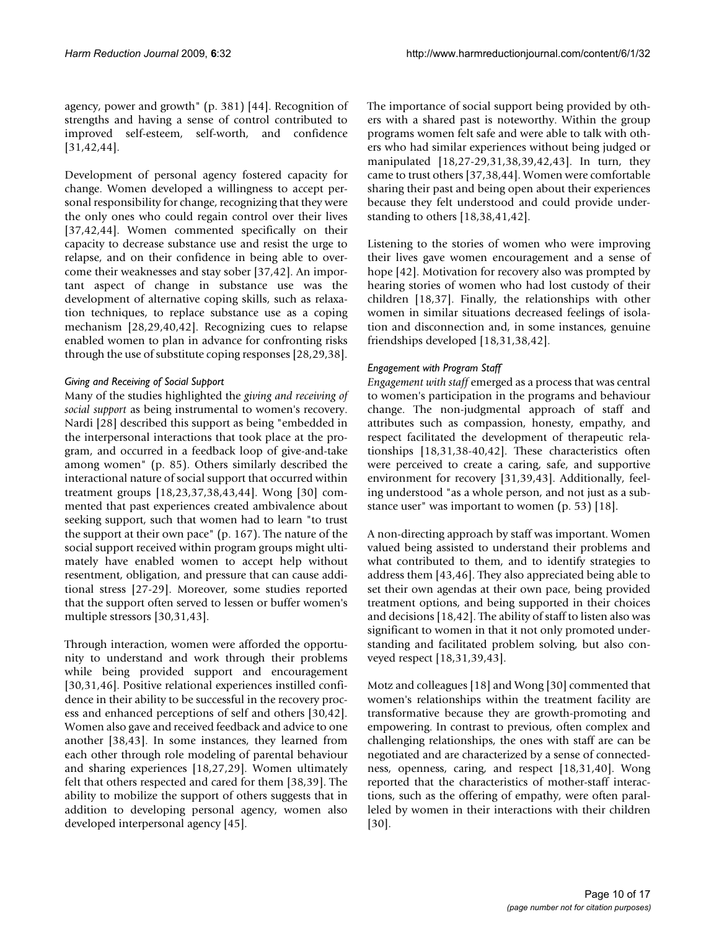agency, power and growth" (p. 381) [\[44](#page-15-36)]. Recognition of strengths and having a sense of control contributed to improved self-esteem, self-worth, and confidence [[31](#page-15-10),[42](#page-15-20)[,44](#page-15-36)].

Development of personal agency fostered capacity for change. Women developed a willingness to accept personal responsibility for change, recognizing that they were the only ones who could regain control over their lives [[37](#page-15-16),[42](#page-15-20)[,44](#page-15-36)]. Women commented specifically on their capacity to decrease substance use and resist the urge to relapse, and on their confidence in being able to overcome their weaknesses and stay sober [[37](#page-15-16),[42\]](#page-15-20). An important aspect of change in substance use was the development of alternative coping skills, such as relaxation techniques, to replace substance use as a coping mechanism [\[28](#page-15-19),[29](#page-15-8),[40](#page-15-37)[,42](#page-15-20)]. Recognizing cues to relapse enabled women to plan in advance for confronting risks through the use of substitute coping responses [[28](#page-15-19),[29](#page-15-8)[,38](#page-15-17)].

# *Giving and Receiving of Social Support*

Many of the studies highlighted the *giving and receiving of social support* as being instrumental to women's recovery. Nardi [\[28](#page-15-19)] described this support as being "embedded in the interpersonal interactions that took place at the program, and occurred in a feedback loop of give-and-take among women" (p. 85). Others similarly described the interactional nature of social support that occurred within treatment groups [\[18](#page-14-13)[,23](#page-15-3),[37,](#page-15-16)[38](#page-15-17),[43](#page-15-21),[44\]](#page-15-36). Wong [\[30](#page-15-9)] commented that past experiences created ambivalence about seeking support, such that women had to learn "to trust the support at their own pace" (p. 167). The nature of the social support received within program groups might ultimately have enabled women to accept help without resentment, obligation, and pressure that can cause additional stress [[27](#page-15-7)[-29](#page-15-8)]. Moreover, some studies reported that the support often served to lessen or buffer women's multiple stressors [[30,](#page-15-9)[31](#page-15-10),[43](#page-15-21)].

Through interaction, women were afforded the opportunity to understand and work through their problems while being provided support and encouragement [[30](#page-15-9),[31](#page-15-10)[,46](#page-15-39)]. Positive relational experiences instilled confidence in their ability to be successful in the recovery process and enhanced perceptions of self and others [[30](#page-15-9)[,42](#page-15-20)]. Women also gave and received feedback and advice to one another [\[38](#page-15-17)[,43](#page-15-21)]. In some instances, they learned from each other through role modeling of parental behaviour and sharing experiences [\[18](#page-14-13),[27](#page-15-7),[29\]](#page-15-8). Women ultimately felt that others respected and cared for them [[38,](#page-15-17)[39\]](#page-15-18). The ability to mobilize the support of others suggests that in addition to developing personal agency, women also developed interpersonal agency [[45\]](#page-15-38).

The importance of social support being provided by others with a shared past is noteworthy. Within the group programs women felt safe and were able to talk with others who had similar experiences without being judged or manipulated [[18,](#page-14-13)[27-](#page-15-7)[29](#page-15-8)[,31](#page-15-10),[38,](#page-15-17)[39](#page-15-18)[,42](#page-15-20),[43\]](#page-15-21). In turn, they came to trust others [\[37](#page-15-16),[38](#page-15-17),[44\]](#page-15-36). Women were comfortable sharing their past and being open about their experiences because they felt understood and could provide understanding to others [\[18](#page-14-13)[,38](#page-15-17),[41,](#page-15-40)[42\]](#page-15-20).

Listening to the stories of women who were improving their lives gave women encouragement and a sense of hope [[42](#page-15-20)]. Motivation for recovery also was prompted by hearing stories of women who had lost custody of their children [[18,](#page-14-13)[37](#page-15-16)]. Finally, the relationships with other women in similar situations decreased feelings of isolation and disconnection and, in some instances, genuine friendships developed [\[18](#page-14-13)[,31](#page-15-10),[38,](#page-15-17)[42\]](#page-15-20).

# *Engagement with Program Staff*

*Engagement with staff* emerged as a process that was central to women's participation in the programs and behaviour change. The non-judgmental approach of staff and attributes such as compassion, honesty, empathy, and respect facilitated the development of therapeutic relationships [\[18](#page-14-13),[31,](#page-15-10)[38](#page-15-17)[-40](#page-15-37)[,42](#page-15-20)]. These characteristics often were perceived to create a caring, safe, and supportive environment for recovery [[31,](#page-15-10)[39](#page-15-18)[,43](#page-15-21)]. Additionally, feeling understood "as a whole person, and not just as a substance user" was important to women (p. 53) [[18\]](#page-14-13).

A non-directing approach by staff was important. Women valued being assisted to understand their problems and what contributed to them, and to identify strategies to address them [[43](#page-15-21),[46\]](#page-15-39). They also appreciated being able to set their own agendas at their own pace, being provided treatment options, and being supported in their choices and decisions [\[18](#page-14-13),[42\]](#page-15-20). The ability of staff to listen also was significant to women in that it not only promoted understanding and facilitated problem solving, but also conveyed respect [[18](#page-14-13),[31](#page-15-10)[,39](#page-15-18),[43](#page-15-21)].

Motz and colleagues [[18\]](#page-14-13) and Wong [[30](#page-15-9)] commented that women's relationships within the treatment facility are transformative because they are growth-promoting and empowering. In contrast to previous, often complex and challenging relationships, the ones with staff are can be negotiated and are characterized by a sense of connectedness, openness, caring, and respect [[18](#page-14-13)[,31](#page-15-10),[40](#page-15-37)]. Wong reported that the characteristics of mother-staff interactions, such as the offering of empathy, were often paralleled by women in their interactions with their children [[30](#page-15-9)].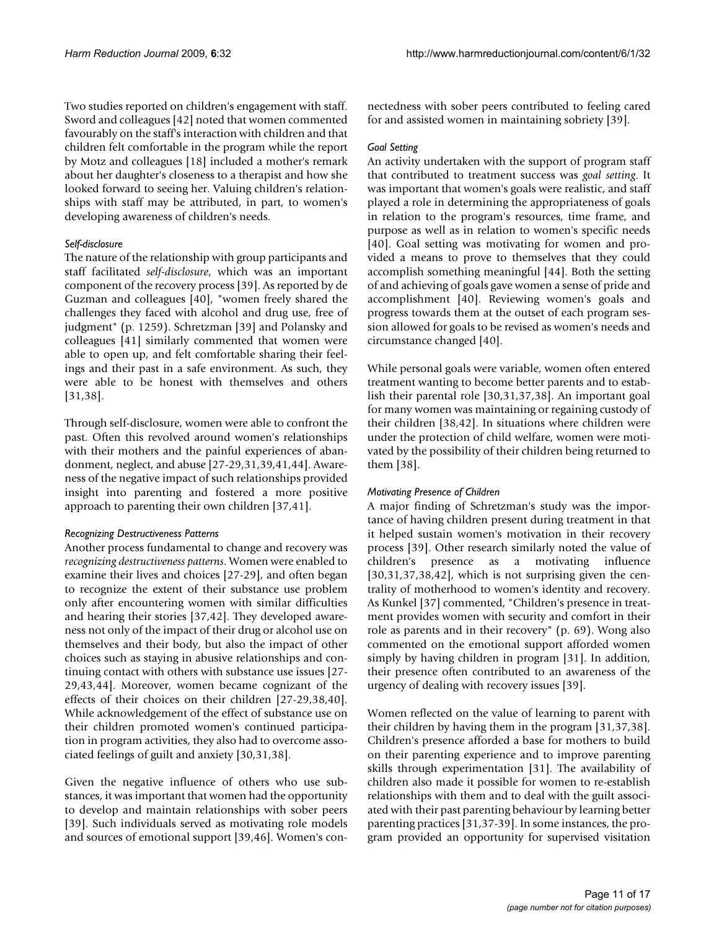Two studies reported on children's engagement with staff. Sword and colleagues [[42](#page-15-20)] noted that women commented favourably on the staff's interaction with children and that children felt comfortable in the program while the report by Motz and colleagues [[18\]](#page-14-13) included a mother's remark about her daughter's closeness to a therapist and how she looked forward to seeing her. Valuing children's relationships with staff may be attributed, in part, to women's developing awareness of children's needs.

# *Self-disclosure*

The nature of the relationship with group participants and staff facilitated *self-disclosure*, which was an important component of the recovery process [\[39](#page-15-18)]. As reported by de Guzman and colleagues [[40\]](#page-15-37), "women freely shared the challenges they faced with alcohol and drug use, free of judgment" (p. 1259). Schretzman [[39\]](#page-15-18) and Polansky and colleagues [[41\]](#page-15-40) similarly commented that women were able to open up, and felt comfortable sharing their feelings and their past in a safe environment. As such, they were able to be honest with themselves and others [[31](#page-15-10),[38\]](#page-15-17).

Through self-disclosure, women were able to confront the past. Often this revolved around women's relationships with their mothers and the painful experiences of abandonment, neglect, and abuse [[27-](#page-15-7)[29,](#page-15-8)[31](#page-15-10)[,39](#page-15-18),[41,](#page-15-40)[44\]](#page-15-36). Awareness of the negative impact of such relationships provided insight into parenting and fostered a more positive approach to parenting their own children [\[37](#page-15-16),[41\]](#page-15-40).

# *Recognizing Destructiveness Patterns*

Another process fundamental to change and recovery was *recognizing destructiveness patterns*. Women were enabled to examine their lives and choices [[27](#page-15-7)[-29](#page-15-8)], and often began to recognize the extent of their substance use problem only after encountering women with similar difficulties and hearing their stories [\[37](#page-15-16),[42\]](#page-15-20). They developed awareness not only of the impact of their drug or alcohol use on themselves and their body, but also the impact of other choices such as staying in abusive relationships and continuing contact with others with substance use issues [\[27](#page-15-7)- [29](#page-15-8)[,43](#page-15-21),[44\]](#page-15-36). Moreover, women became cognizant of the effects of their choices on their children [[27-](#page-15-7)[29](#page-15-8),[38](#page-15-17)[,40](#page-15-37)]. While acknowledgement of the effect of substance use on their children promoted women's continued participation in program activities, they also had to overcome associated feelings of guilt and anxiety [[30](#page-15-9),[31](#page-15-10)[,38](#page-15-17)].

Given the negative influence of others who use substances, it was important that women had the opportunity to develop and maintain relationships with sober peers [[39](#page-15-18)]. Such individuals served as motivating role models and sources of emotional support [[39,](#page-15-18)[46](#page-15-39)]. Women's connectedness with sober peers contributed to feeling cared for and assisted women in maintaining sobriety [\[39\]](#page-15-18).

# *Goal Setting*

An activity undertaken with the support of program staff that contributed to treatment success was *goal setting*. It was important that women's goals were realistic, and staff played a role in determining the appropriateness of goals in relation to the program's resources, time frame, and purpose as well as in relation to women's specific needs [[40](#page-15-37)]. Goal setting was motivating for women and provided a means to prove to themselves that they could accomplish something meaningful [[44\]](#page-15-36). Both the setting of and achieving of goals gave women a sense of pride and accomplishment [\[40\]](#page-15-37). Reviewing women's goals and progress towards them at the outset of each program session allowed for goals to be revised as women's needs and circumstance changed [[40](#page-15-37)].

While personal goals were variable, women often entered treatment wanting to become better parents and to establish their parental role [\[30](#page-15-9),[31](#page-15-10),[37](#page-15-16)[,38](#page-15-17)]. An important goal for many women was maintaining or regaining custody of their children [[38](#page-15-17),[42\]](#page-15-20). In situations where children were under the protection of child welfare, women were motivated by the possibility of their children being returned to them [\[38\]](#page-15-17).

# *Motivating Presence of Children*

A major finding of Schretzman's study was the importance of having children present during treatment in that it helped sustain women's motivation in their recovery process [[39](#page-15-18)]. Other research similarly noted the value of children's presence as a motivating influence [[30](#page-15-9),[31,](#page-15-10)[37](#page-15-16),[38](#page-15-17),[42\]](#page-15-20), which is not surprising given the centrality of motherhood to women's identity and recovery. As Kunkel [[37\]](#page-15-16) commented, "Children's presence in treatment provides women with security and comfort in their role as parents and in their recovery" (p. 69). Wong also commented on the emotional support afforded women simply by having children in program [\[31\]](#page-15-10). In addition, their presence often contributed to an awareness of the urgency of dealing with recovery issues [\[39](#page-15-18)].

Women reflected on the value of learning to parent with their children by having them in the program [[31](#page-15-10),[37,](#page-15-16)[38](#page-15-17)]. Children's presence afforded a base for mothers to build on their parenting experience and to improve parenting skills through experimentation [[31\]](#page-15-10). The availability of children also made it possible for women to re-establish relationships with them and to deal with the guilt associated with their past parenting behaviour by learning better parenting practices [[31](#page-15-10)[,37](#page-15-16)[-39](#page-15-18)]. In some instances, the program provided an opportunity for supervised visitation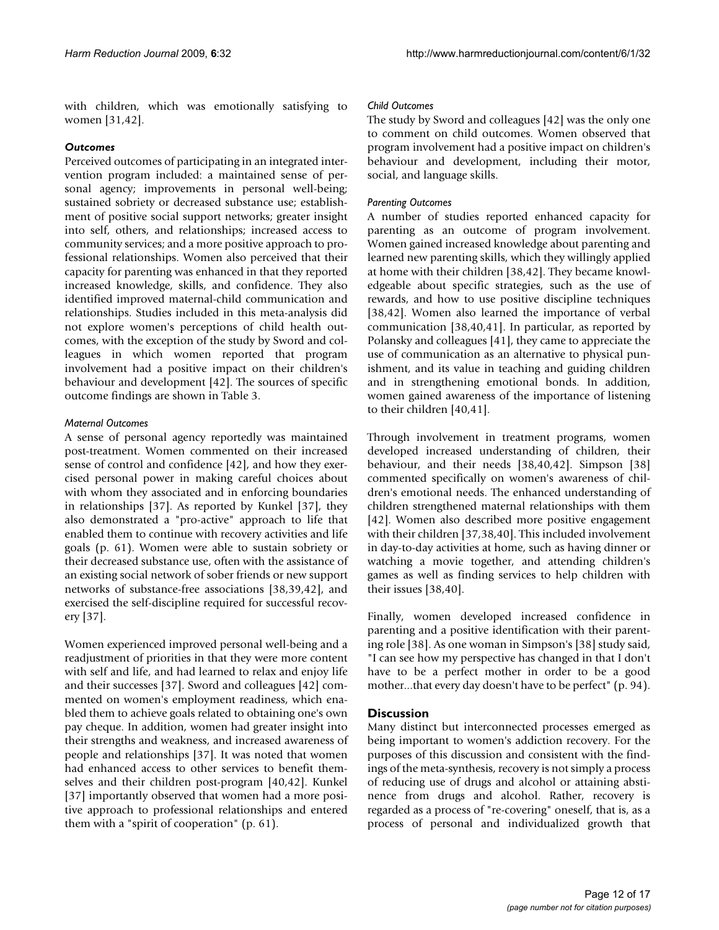with children, which was emotionally satisfying to women [[31,](#page-15-10)[42](#page-15-20)].

# *Outcomes*

Perceived outcomes of participating in an integrated intervention program included: a maintained sense of personal agency; improvements in personal well-being; sustained sobriety or decreased substance use; establishment of positive social support networks; greater insight into self, others, and relationships; increased access to community services; and a more positive approach to professional relationships. Women also perceived that their capacity for parenting was enhanced in that they reported increased knowledge, skills, and confidence. They also identified improved maternal-child communication and relationships. Studies included in this meta-analysis did not explore women's perceptions of child health outcomes, with the exception of the study by Sword and colleagues in which women reported that program involvement had a positive impact on their children's behaviour and development [\[42](#page-15-20)]. The sources of specific outcome findings are shown in Table [3.](#page-8-0)

# *Maternal Outcomes*

A sense of personal agency reportedly was maintained post-treatment. Women commented on their increased sense of control and confidence [[42\]](#page-15-20), and how they exercised personal power in making careful choices about with whom they associated and in enforcing boundaries in relationships [\[37\]](#page-15-16). As reported by Kunkel [\[37\]](#page-15-16), they also demonstrated a "pro-active" approach to life that enabled them to continue with recovery activities and life goals (p. 61). Women were able to sustain sobriety or their decreased substance use, often with the assistance of an existing social network of sober friends or new support networks of substance-free associations [\[38](#page-15-17),[39,](#page-15-18)[42\]](#page-15-20), and exercised the self-discipline required for successful recovery [[37\]](#page-15-16).

Women experienced improved personal well-being and a readjustment of priorities in that they were more content with self and life, and had learned to relax and enjoy life and their successes [[37](#page-15-16)]. Sword and colleagues [[42](#page-15-20)] commented on women's employment readiness, which enabled them to achieve goals related to obtaining one's own pay cheque. In addition, women had greater insight into their strengths and weakness, and increased awareness of people and relationships [[37\]](#page-15-16). It was noted that women had enhanced access to other services to benefit themselves and their children post-program [[40,](#page-15-37)[42\]](#page-15-20). Kunkel [[37](#page-15-16)] importantly observed that women had a more positive approach to professional relationships and entered them with a "spirit of cooperation" (p. 61).

# *Child Outcomes*

The study by Sword and colleagues [[42\]](#page-15-20) was the only one to comment on child outcomes. Women observed that program involvement had a positive impact on children's behaviour and development, including their motor, social, and language skills.

# *Parenting Outcomes*

A number of studies reported enhanced capacity for parenting as an outcome of program involvement. Women gained increased knowledge about parenting and learned new parenting skills, which they willingly applied at home with their children [[38](#page-15-17)[,42\]](#page-15-20). They became knowledgeable about specific strategies, such as the use of rewards, and how to use positive discipline techniques [[38](#page-15-17),[42\]](#page-15-20). Women also learned the importance of verbal communication [\[38](#page-15-17),[40](#page-15-37)[,41\]](#page-15-40). In particular, as reported by Polansky and colleagues [[41\]](#page-15-40), they came to appreciate the use of communication as an alternative to physical punishment, and its value in teaching and guiding children and in strengthening emotional bonds. In addition, women gained awareness of the importance of listening to their children [\[40](#page-15-37),[41\]](#page-15-40).

Through involvement in treatment programs, women developed increased understanding of children, their behaviour, and their needs [\[38](#page-15-17),[40,](#page-15-37)[42\]](#page-15-20). Simpson [[38\]](#page-15-17) commented specifically on women's awareness of children's emotional needs. The enhanced understanding of children strengthened maternal relationships with them [[42](#page-15-20)]. Women also described more positive engagement with their children [[37](#page-15-16),[38,](#page-15-17)[40](#page-15-37)]. This included involvement in day-to-day activities at home, such as having dinner or watching a movie together, and attending children's games as well as finding services to help children with their issues [[38](#page-15-17),[40\]](#page-15-37).

Finally, women developed increased confidence in parenting and a positive identification with their parenting role [[38](#page-15-17)]. As one woman in Simpson's [\[38](#page-15-17)] study said, "I can see how my perspective has changed in that I don't have to be a perfect mother in order to be a good mother...that every day doesn't have to be perfect" (p. 94).

# **Discussion**

Many distinct but interconnected processes emerged as being important to women's addiction recovery. For the purposes of this discussion and consistent with the findings of the meta-synthesis, recovery is not simply a process of reducing use of drugs and alcohol or attaining abstinence from drugs and alcohol. Rather, recovery is regarded as a process of "re-covering" oneself, that is, as a process of personal and individualized growth that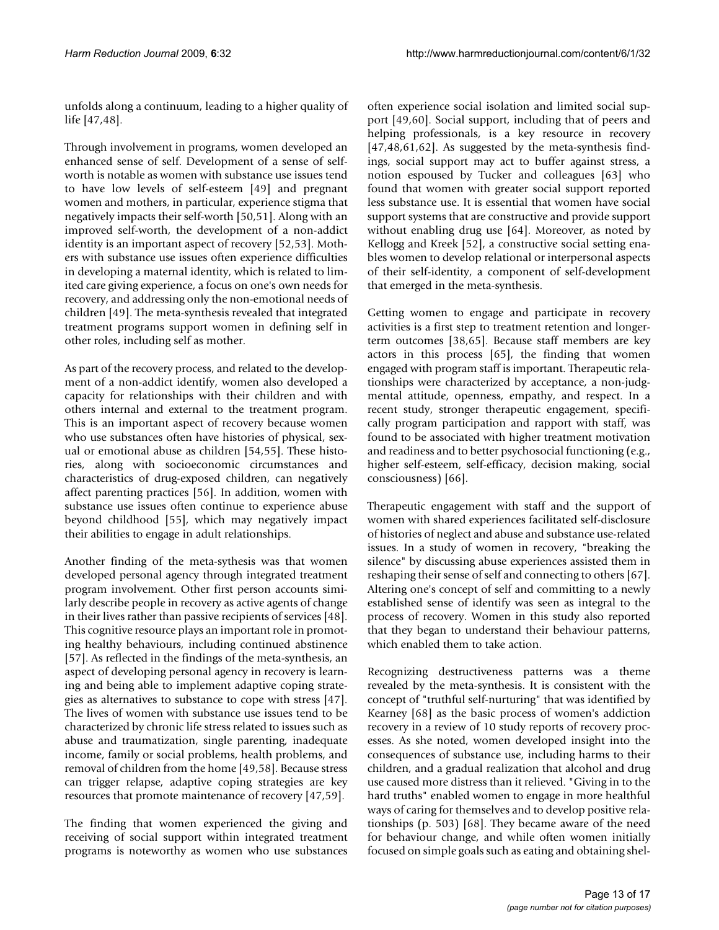unfolds along a continuum, leading to a higher quality of life [\[47](#page-15-41),[48\]](#page-15-42).

Through involvement in programs, women developed an enhanced sense of self. Development of a sense of selfworth is notable as women with substance use issues tend to have low levels of self-esteem [\[49](#page-15-43)] and pregnant women and mothers, in particular, experience stigma that negatively impacts their self-worth [[50,](#page-15-44)[51\]](#page-15-45). Along with an improved self-worth, the development of a non-addict identity is an important aspect of recovery [\[52](#page-15-46),[53\]](#page-15-47). Mothers with substance use issues often experience difficulties in developing a maternal identity, which is related to limited care giving experience, a focus on one's own needs for recovery, and addressing only the non-emotional needs of children [\[49\]](#page-15-43). The meta-synthesis revealed that integrated treatment programs support women in defining self in other roles, including self as mother.

As part of the recovery process, and related to the development of a non-addict identify, women also developed a capacity for relationships with their children and with others internal and external to the treatment program. This is an important aspect of recovery because women who use substances often have histories of physical, sexual or emotional abuse as children [\[54](#page-15-48),[55\]](#page-15-49). These histories, along with socioeconomic circumstances and characteristics of drug-exposed children, can negatively affect parenting practices [[56\]](#page-15-50). In addition, women with substance use issues often continue to experience abuse beyond childhood [\[55\]](#page-15-49), which may negatively impact their abilities to engage in adult relationships.

Another finding of the meta-sythesis was that women developed personal agency through integrated treatment program involvement. Other first person accounts similarly describe people in recovery as active agents of change in their lives rather than passive recipients of services [\[48](#page-15-42)]. This cognitive resource plays an important role in promoting healthy behaviours, including continued abstinence [[57](#page-15-51)]. As reflected in the findings of the meta-synthesis, an aspect of developing personal agency in recovery is learning and being able to implement adaptive coping strategies as alternatives to substance to cope with stress [\[47](#page-15-41)]. The lives of women with substance use issues tend to be characterized by chronic life stress related to issues such as abuse and traumatization, single parenting, inadequate income, family or social problems, health problems, and removal of children from the home [[49,](#page-15-43)[58\]](#page-15-52). Because stress can trigger relapse, adaptive coping strategies are key resources that promote maintenance of recovery [[47](#page-15-41),[59\]](#page-15-53).

The finding that women experienced the giving and receiving of social support within integrated treatment programs is noteworthy as women who use substances often experience social isolation and limited social support [\[49](#page-15-43),[60\]](#page-15-54). Social support, including that of peers and helping professionals, is a key resource in recovery [[47](#page-15-41),[48,](#page-15-42)[61](#page-15-55),[62](#page-15-56)]. As suggested by the meta-synthesis findings, social support may act to buffer against stress, a notion espoused by Tucker and colleagues [[63](#page-15-57)] who found that women with greater social support reported less substance use. It is essential that women have social support systems that are constructive and provide support without enabling drug use [\[64](#page-15-58)]. Moreover, as noted by Kellogg and Kreek [[52\]](#page-15-46), a constructive social setting enables women to develop relational or interpersonal aspects of their self-identity, a component of self-development that emerged in the meta-synthesis.

Getting women to engage and participate in recovery activities is a first step to treatment retention and longerterm outcomes [[38,](#page-15-17)[65\]](#page-15-59). Because staff members are key actors in this process [[65](#page-15-59)], the finding that women engaged with program staff is important. Therapeutic relationships were characterized by acceptance, a non-judgmental attitude, openness, empathy, and respect. In a recent study, stronger therapeutic engagement, specifically program participation and rapport with staff, was found to be associated with higher treatment motivation and readiness and to better psychosocial functioning (e.g., higher self-esteem, self-efficacy, decision making, social consciousness) [\[66\]](#page-15-60).

Therapeutic engagement with staff and the support of women with shared experiences facilitated self-disclosure of histories of neglect and abuse and substance use-related issues. In a study of women in recovery, "breaking the silence" by discussing abuse experiences assisted them in reshaping their sense of self and connecting to others [\[67](#page-15-61)]. Altering one's concept of self and committing to a newly established sense of identify was seen as integral to the process of recovery. Women in this study also reported that they began to understand their behaviour patterns, which enabled them to take action.

Recognizing destructiveness patterns was a theme revealed by the meta-synthesis. It is consistent with the concept of "truthful self-nurturing" that was identified by Kearney [[68\]](#page-16-0) as the basic process of women's addiction recovery in a review of 10 study reports of recovery processes. As she noted, women developed insight into the consequences of substance use, including harms to their children, and a gradual realization that alcohol and drug use caused more distress than it relieved. "Giving in to the hard truths" enabled women to engage in more healthful ways of caring for themselves and to develop positive relationships (p. 503) [[68\]](#page-16-0). They became aware of the need for behaviour change, and while often women initially focused on simple goals such as eating and obtaining shel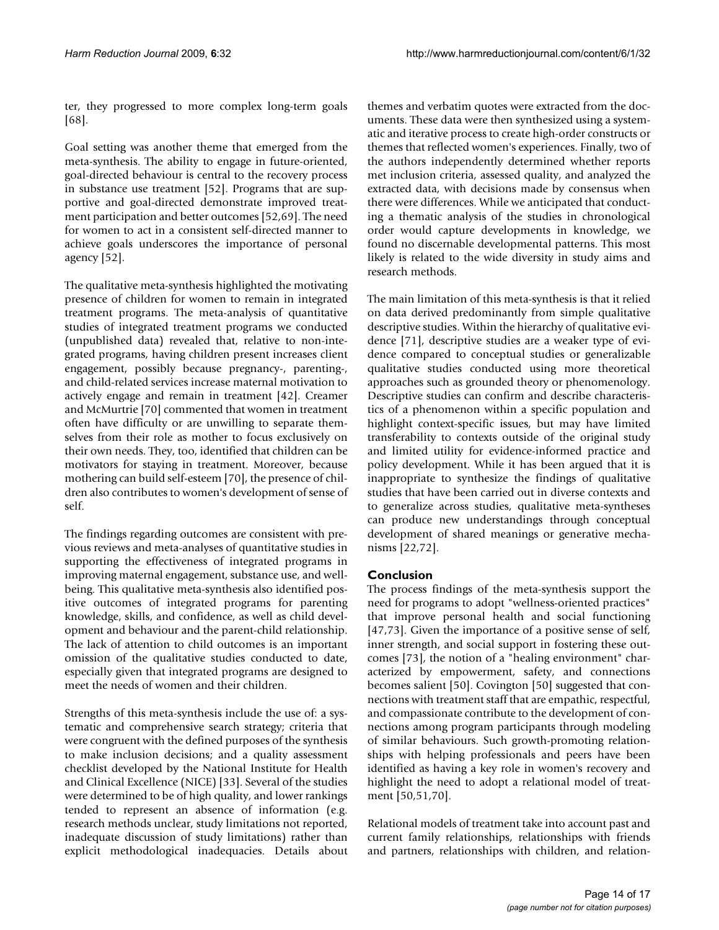ter, they progressed to more complex long-term goals [[68](#page-16-0)].

Goal setting was another theme that emerged from the meta-synthesis. The ability to engage in future-oriented, goal-directed behaviour is central to the recovery process in substance use treatment [\[52](#page-15-46)]. Programs that are supportive and goal-directed demonstrate improved treatment participation and better outcomes [\[52](#page-15-46)[,69](#page-16-1)]. The need for women to act in a consistent self-directed manner to achieve goals underscores the importance of personal agency [[52](#page-15-46)].

The qualitative meta-synthesis highlighted the motivating presence of children for women to remain in integrated treatment programs. The meta-analysis of quantitative studies of integrated treatment programs we conducted (unpublished data) revealed that, relative to non-integrated programs, having children present increases client engagement, possibly because pregnancy-, parenting-, and child-related services increase maternal motivation to actively engage and remain in treatment [\[42](#page-15-20)]. Creamer and McMurtrie [\[70\]](#page-16-2) commented that women in treatment often have difficulty or are unwilling to separate themselves from their role as mother to focus exclusively on their own needs. They, too, identified that children can be motivators for staying in treatment. Moreover, because mothering can build self-esteem [\[70](#page-16-2)], the presence of children also contributes to women's development of sense of self.

The findings regarding outcomes are consistent with previous reviews and meta-analyses of quantitative studies in supporting the effectiveness of integrated programs in improving maternal engagement, substance use, and wellbeing. This qualitative meta-synthesis also identified positive outcomes of integrated programs for parenting knowledge, skills, and confidence, as well as child development and behaviour and the parent-child relationship. The lack of attention to child outcomes is an important omission of the qualitative studies conducted to date, especially given that integrated programs are designed to meet the needs of women and their children.

Strengths of this meta-synthesis include the use of: a systematic and comprehensive search strategy; criteria that were congruent with the defined purposes of the synthesis to make inclusion decisions; and a quality assessment checklist developed by the National Institute for Health and Clinical Excellence (NICE) [\[33\]](#page-15-12). Several of the studies were determined to be of high quality, and lower rankings tended to represent an absence of information (e.g. research methods unclear, study limitations not reported, inadequate discussion of study limitations) rather than explicit methodological inadequacies. Details about

themes and verbatim quotes were extracted from the documents. These data were then synthesized using a systematic and iterative process to create high-order constructs or themes that reflected women's experiences. Finally, two of the authors independently determined whether reports met inclusion criteria, assessed quality, and analyzed the extracted data, with decisions made by consensus when there were differences. While we anticipated that conducting a thematic analysis of the studies in chronological order would capture developments in knowledge, we found no discernable developmental patterns. This most likely is related to the wide diversity in study aims and research methods.

The main limitation of this meta-synthesis is that it relied on data derived predominantly from simple qualitative descriptive studies. Within the hierarchy of qualitative evidence [[71\]](#page-16-3), descriptive studies are a weaker type of evidence compared to conceptual studies or generalizable qualitative studies conducted using more theoretical approaches such as grounded theory or phenomenology. Descriptive studies can confirm and describe characteristics of a phenomenon within a specific population and highlight context-specific issues, but may have limited transferability to contexts outside of the original study and limited utility for evidence-informed practice and policy development. While it has been argued that it is inappropriate to synthesize the findings of qualitative studies that have been carried out in diverse contexts and to generalize across studies, qualitative meta-syntheses can produce new understandings through conceptual development of shared meanings or generative mechanisms [[22,](#page-15-2)[72](#page-16-4)].

# **Conclusion**

The process findings of the meta-synthesis support the need for programs to adopt "wellness-oriented practices" that improve personal health and social functioning [[47](#page-15-41),[73\]](#page-16-5). Given the importance of a positive sense of self, inner strength, and social support in fostering these outcomes [\[73\]](#page-16-5), the notion of a "healing environment" characterized by empowerment, safety, and connections becomes salient [\[50](#page-15-44)]. Covington [\[50](#page-15-44)] suggested that connections with treatment staff that are empathic, respectful, and compassionate contribute to the development of connections among program participants through modeling of similar behaviours. Such growth-promoting relationships with helping professionals and peers have been identified as having a key role in women's recovery and highlight the need to adopt a relational model of treatment [\[50](#page-15-44)[,51](#page-15-45),[70\]](#page-16-2).

Relational models of treatment take into account past and current family relationships, relationships with friends and partners, relationships with children, and relation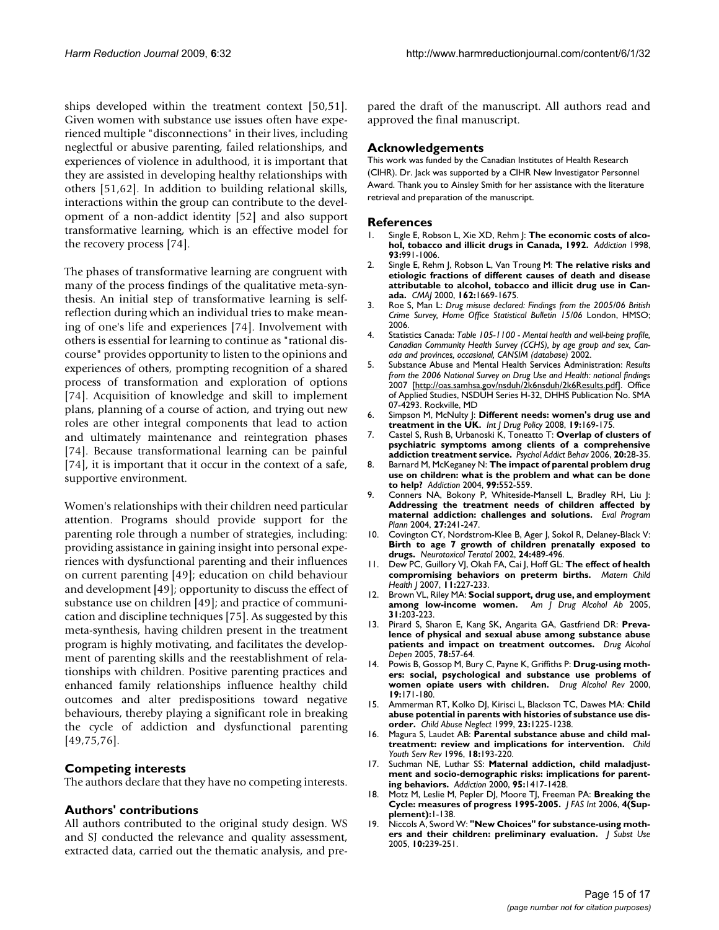ships developed within the treatment context [[50](#page-15-44)[,51](#page-15-45)]. Given women with substance use issues often have experienced multiple "disconnections" in their lives, including neglectful or abusive parenting, failed relationships, and experiences of violence in adulthood, it is important that they are assisted in developing healthy relationships with others [[51](#page-15-45)[,62\]](#page-15-56). In addition to building relational skills, interactions within the group can contribute to the development of a non-addict identity [\[52\]](#page-15-46) and also support transformative learning, which is an effective model for the recovery process [\[74](#page-16-6)].

The phases of transformative learning are congruent with many of the process findings of the qualitative meta-synthesis. An initial step of transformative learning is selfreflection during which an individual tries to make meaning of one's life and experiences [\[74](#page-16-6)]. Involvement with others is essential for learning to continue as "rational discourse" provides opportunity to listen to the opinions and experiences of others, prompting recognition of a shared process of transformation and exploration of options [[74](#page-16-6)]. Acquisition of knowledge and skill to implement plans, planning of a course of action, and trying out new roles are other integral components that lead to action and ultimately maintenance and reintegration phases [[74](#page-16-6)]. Because transformational learning can be painful [[74](#page-16-6)], it is important that it occur in the context of a safe, supportive environment.

Women's relationships with their children need particular attention. Programs should provide support for the parenting role through a number of strategies, including: providing assistance in gaining insight into personal experiences with dysfunctional parenting and their influences on current parenting [[49](#page-15-43)]; education on child behaviour and development [[49\]](#page-15-43); opportunity to discuss the effect of substance use on children [[49\]](#page-15-43); and practice of communication and discipline techniques [\[75](#page-16-7)]. As suggested by this meta-synthesis, having children present in the treatment program is highly motivating, and facilitates the development of parenting skills and the reestablishment of relationships with children. Positive parenting practices and enhanced family relationships influence healthy child outcomes and alter predispositions toward negative behaviours, thereby playing a significant role in breaking the cycle of addiction and dysfunctional parenting [[49](#page-15-43),[75](#page-16-7)[,76](#page-16-8)].

# **Competing interests**

The authors declare that they have no competing interests.

#### **Authors' contributions**

All authors contributed to the original study design. WS and SJ conducted the relevance and quality assessment, extracted data, carried out the thematic analysis, and prepared the draft of the manuscript. All authors read and approved the final manuscript.

#### **Acknowledgements**

This work was funded by the Canadian Institutes of Health Research (CIHR). Dr. Jack was supported by a CIHR New Investigator Personnel Award. Thank you to Ainsley Smith for her assistance with the literature retrieval and preparation of the manuscript.

#### **References**

- <span id="page-14-0"></span>1. Single E, Robson L, Xie XD, Rehm J: **[The economic costs of alco](http://www.ncbi.nlm.nih.gov/entrez/query.fcgi?cmd=Retrieve&db=PubMed&dopt=Abstract&list_uids=9744130)[hol, tobacco and illicit drugs in Canada, 1992.](http://www.ncbi.nlm.nih.gov/entrez/query.fcgi?cmd=Retrieve&db=PubMed&dopt=Abstract&list_uids=9744130)** *Addiction* 1998, **93:**991-1006.
- <span id="page-14-1"></span>2. Single E, Rehm J, Robson L, Van Troung M: **[The relative risks and](http://www.ncbi.nlm.nih.gov/entrez/query.fcgi?cmd=Retrieve&db=PubMed&dopt=Abstract&list_uids=10870494) [etiologic fractions of different causes of death and disease](http://www.ncbi.nlm.nih.gov/entrez/query.fcgi?cmd=Retrieve&db=PubMed&dopt=Abstract&list_uids=10870494) attributable to alcohol, tobacco and illicit drug use in Can[ada.](http://www.ncbi.nlm.nih.gov/entrez/query.fcgi?cmd=Retrieve&db=PubMed&dopt=Abstract&list_uids=10870494)** *CMAJ* 2000, **162:**1669-1675.
- <span id="page-14-2"></span>3. Roe S, Man L: *Drug misuse declared: Findings from the 2005/06 British Crime Survey, Home Office Statistical Bulletin 15/06* London, HMSO; 2006.
- 4. Statistics Canada: *Table 105-1100 Mental health and well-being profile, Canadian Community Health Survey (CCHS), by age group and sex, Canada and provinces, occasional, CANSIM (database)* 2002.
- <span id="page-14-3"></span>5. Substance Abuse and Mental Health Services Administration: *Results from the 2006 National Survey on Drug Use and Health: national findings* 2007 [[http://oas.samhsa.gov/nsduh/2k6nsduh/2k6Results.pdf\]](http://oas.samhsa.gov/nsduh/2k6nsduh/2k6Results.pdf). Office of Applied Studies, NSDUH Series H-32, DHHS Publication No. SMA 07-4293. Rockville, MD
- <span id="page-14-4"></span>6. Simpson M, McNulty J: **[Different needs: women's drug use and](http://www.ncbi.nlm.nih.gov/entrez/query.fcgi?cmd=Retrieve&db=PubMed&dopt=Abstract&list_uids=18155515) [treatment in the UK.](http://www.ncbi.nlm.nih.gov/entrez/query.fcgi?cmd=Retrieve&db=PubMed&dopt=Abstract&list_uids=18155515)** *Int J Drug Policy* 2008, **19:**169-175.
- <span id="page-14-5"></span>7. Castel S, Rush B, Urbanoski K, Toneatto T: **[Overlap of clusters of](http://www.ncbi.nlm.nih.gov/entrez/query.fcgi?cmd=Retrieve&db=PubMed&dopt=Abstract&list_uids=16536662) [psychiatric symptoms among clients of a comprehensive](http://www.ncbi.nlm.nih.gov/entrez/query.fcgi?cmd=Retrieve&db=PubMed&dopt=Abstract&list_uids=16536662) [addiction treatment service.](http://www.ncbi.nlm.nih.gov/entrez/query.fcgi?cmd=Retrieve&db=PubMed&dopt=Abstract&list_uids=16536662)** *Psychol Addict Behav* 2006, **20:**28-35.
- <span id="page-14-6"></span>8. Barnard M, McKeganey N: **[The impact of parental problem drug](http://www.ncbi.nlm.nih.gov/entrez/query.fcgi?cmd=Retrieve&db=PubMed&dopt=Abstract&list_uids=15078229) [use on children: what is the problem and what can be done](http://www.ncbi.nlm.nih.gov/entrez/query.fcgi?cmd=Retrieve&db=PubMed&dopt=Abstract&list_uids=15078229) [to help?](http://www.ncbi.nlm.nih.gov/entrez/query.fcgi?cmd=Retrieve&db=PubMed&dopt=Abstract&list_uids=15078229)** *Addiction* 2004, **99:**552-559.
- <span id="page-14-10"></span>9. Conners NA, Bokony P, Whiteside-Mansell L, Bradley RH, Liu J: **Addressing the treatment needs of children affected by maternal addiction: challenges and solutions.** *Eval Program Plann* 2004, **27:**241-247.
- 10. Covington CY, Nordstrom-Klee B, Ager J, Sokol R, Delaney-Black V: **[Birth to age 7 growth of children prenatally exposed to](http://www.ncbi.nlm.nih.gov/entrez/query.fcgi?cmd=Retrieve&db=PubMed&dopt=Abstract&list_uids=12127894) [drugs.](http://www.ncbi.nlm.nih.gov/entrez/query.fcgi?cmd=Retrieve&db=PubMed&dopt=Abstract&list_uids=12127894)** *Neurotoxicol Teratol* 2002, **24:**489-496.
- <span id="page-14-15"></span><span id="page-14-7"></span>11. Dew PC, Guillory VJ, Okah FA, Cai J, Hoff GL: **[The effect of health](http://www.ncbi.nlm.nih.gov/entrez/query.fcgi?cmd=Retrieve&db=PubMed&dopt=Abstract&list_uids=17136459) [compromising behaviors on preterm births.](http://www.ncbi.nlm.nih.gov/entrez/query.fcgi?cmd=Retrieve&db=PubMed&dopt=Abstract&list_uids=17136459)** *Matern Child Health J* 2007, **11:**227-233.
- <span id="page-14-8"></span>12. Brown VL, Riley MA: **Social support, drug use, and employment among low-income women.** *Am J Drug Alcohol Ab* 2005, **31:**203-223.
- 13. Pirard S, Sharon E, Kang SK, Angarita GA, Gastfriend DR: **Prevalence of physical and sexual abuse among substance abuse patients and impact on treatment outcomes.** *Drug Alcohol Depen* 2005, **78:**57-64.
- <span id="page-14-9"></span>14. Powis B, Gossop M, Bury C, Payne K, Griffiths P: **Drug-using mothers: social, psychological and substance use problems of women opiate users with children.** *Drug Alcohol Rev* 2000, **19:**171-180.
- <span id="page-14-11"></span>15. Ammerman RT, Kolko DJ, Kirisci L, Blackson TC, Dawes MA: **[Child](http://www.ncbi.nlm.nih.gov/entrez/query.fcgi?cmd=Retrieve&db=PubMed&dopt=Abstract&list_uids=10626607) [abuse potential in parents with histories of substance use dis](http://www.ncbi.nlm.nih.gov/entrez/query.fcgi?cmd=Retrieve&db=PubMed&dopt=Abstract&list_uids=10626607)[order.](http://www.ncbi.nlm.nih.gov/entrez/query.fcgi?cmd=Retrieve&db=PubMed&dopt=Abstract&list_uids=10626607)** *Child Abuse Neglect* 1999, **23:**1225-1238.
- 16. Magura S, Laudet AB: **Parental substance abuse and child maltreatment: review and implications for intervention.** *Child Youth Serv Rev* 1996, **18:**193-220.
- <span id="page-14-12"></span>17. Suchman NE, Luthar SS: **[Maternal addiction, child maladjust](http://www.ncbi.nlm.nih.gov/entrez/query.fcgi?cmd=Retrieve&db=PubMed&dopt=Abstract&list_uids=11048359)[ment and socio-demographic risks: implications for parent](http://www.ncbi.nlm.nih.gov/entrez/query.fcgi?cmd=Retrieve&db=PubMed&dopt=Abstract&list_uids=11048359)[ing behaviors.](http://www.ncbi.nlm.nih.gov/entrez/query.fcgi?cmd=Retrieve&db=PubMed&dopt=Abstract&list_uids=11048359)** *Addiction* 2000, **95:**1417-1428.
- <span id="page-14-13"></span>18. Motz M, Leslie M, Pepler DJ, Moore TJ, Freeman PA: **Breaking the Cycle: measures of progress 1995-2005.** *J FAS Int* 2006, **4(Supplement):**1-138.
- <span id="page-14-14"></span>19. Niccols A, Sword W: **"New Choices" for substance-using mothers and their children: preliminary evaluation.** *J Subst Use* 2005, **10:**239-251.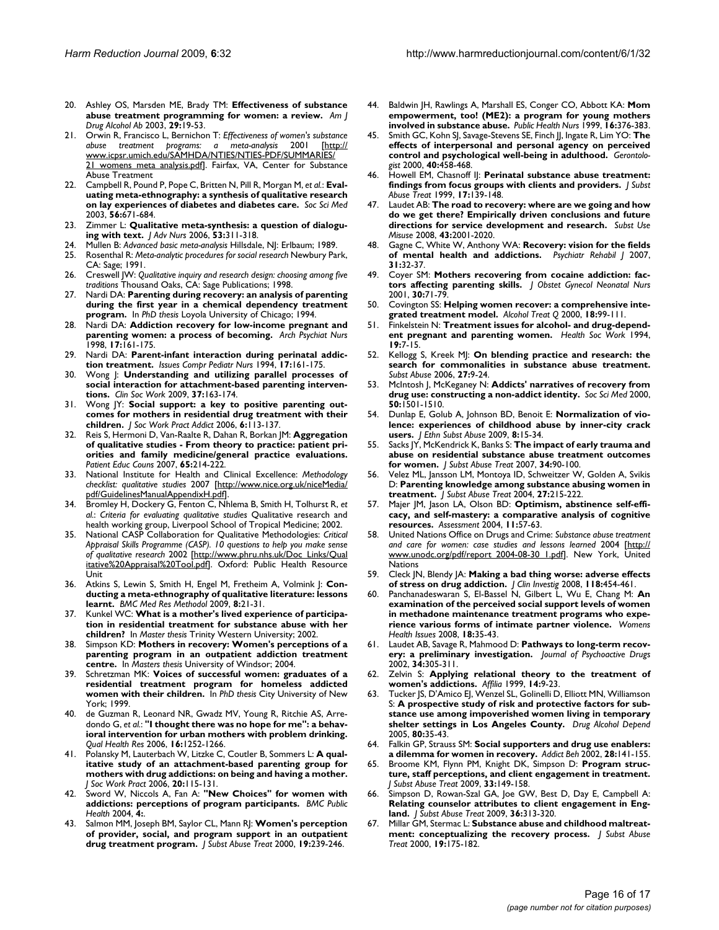- <span id="page-15-23"></span><span id="page-15-22"></span><span id="page-15-0"></span>20. Ashley OS, Marsden ME, Brady TM: **Effectiveness of substance abuse treatment programming for women: a review.** *Am J Drug Alcohol Ab* 2003, **29:**19-53.
- <span id="page-15-35"></span><span id="page-15-24"></span><span id="page-15-1"></span>21. Orwin R, Francisco L, Bernichon T: *Effectiveness of women's substance abuse treatment programs: a meta-analysis* 2001 [[http://](http://www.icpsr.umich.edu/SAMHDA/NTIES/NTIES-PDF/SUMMARIES/21_womens_meta_analysis.pdf) [www.icpsr.umich.edu/SAMHDA/NTIES/NTIES-PDF/SUMMARIES/](http://www.icpsr.umich.edu/SAMHDA/NTIES/NTIES-PDF/SUMMARIES/21_womens_meta_analysis.pdf) 21 womens meta analysis.pdf]. Fairfax, VA, Center for Substance Abuse Treatment
- <span id="page-15-34"></span><span id="page-15-2"></span>22. Campbell R, Pound P, Pope C, Britten N, Pill R, Morgan M, *et al.*: **[Eval](http://www.ncbi.nlm.nih.gov/entrez/query.fcgi?cmd=Retrieve&db=PubMed&dopt=Abstract&list_uids=12560003)[uating meta-ethnography: a synthesis of qualitative research](http://www.ncbi.nlm.nih.gov/entrez/query.fcgi?cmd=Retrieve&db=PubMed&dopt=Abstract&list_uids=12560003) [on lay experiences of diabetes and diabetes care.](http://www.ncbi.nlm.nih.gov/entrez/query.fcgi?cmd=Retrieve&db=PubMed&dopt=Abstract&list_uids=12560003)** *Soc Sci Med* 2003, **56:**671-684.
- <span id="page-15-3"></span>23. Zimmer L: **[Qualitative meta-synthesis: a question of dialogu](http://www.ncbi.nlm.nih.gov/entrez/query.fcgi?cmd=Retrieve&db=PubMed&dopt=Abstract&list_uids=16441536)[ing with text.](http://www.ncbi.nlm.nih.gov/entrez/query.fcgi?cmd=Retrieve&db=PubMed&dopt=Abstract&list_uids=16441536)** *J Adv Nurs* 2006, **53:**311-318.
- <span id="page-15-4"></span>24. Mullen B: *Advanced basic meta-analysis* Hillsdale, NJ: Erlbaum; 1989.
- <span id="page-15-5"></span>25. Rosenthal R: *Meta-analytic procedures for social research* Newbury Park, CA: Sage; 1991.
- <span id="page-15-6"></span>26. Creswell JW: *Qualitative inquiry and research design: choosing among five traditions* Thousand Oaks, CA: Sage Publications; 1998.
- <span id="page-15-7"></span>27. Nardi DA: **Parenting during recovery: an analysis of parenting during the first year in a chemical dependency treatment program.** In *PhD thesis* Loyola University of Chicago; 1994.
- <span id="page-15-19"></span>28. Nardi DA: **Addiction recovery for low-income pregnant and parenting women: a process of becoming.** *Arch Psychiat Nurs* 1998, **17:**161-175.
- <span id="page-15-8"></span>29. Nardi DA: **[Parent-infant interaction during perinatal addic](http://www.ncbi.nlm.nih.gov/entrez/query.fcgi?cmd=Retrieve&db=PubMed&dopt=Abstract&list_uids=7759321)[tion treatment.](http://www.ncbi.nlm.nih.gov/entrez/query.fcgi?cmd=Retrieve&db=PubMed&dopt=Abstract&list_uids=7759321)** *Issues Compr Pediatr Nurs* 1994, **17:**161-175.
- <span id="page-15-9"></span>30. Wong J: **Understanding and utilizing parallel processes of social interaction for attachment-based parenting interventions.** *Clin Soc Work* 2009, **37:**163-174.
- <span id="page-15-29"></span><span id="page-15-10"></span>31. Wong JY: **Social support: a key to positive parenting outcomes for mothers in residential drug treatment with their children.** *J Soc Work Pract Addict* 2006, **6:**113-137.
- <span id="page-15-30"></span><span id="page-15-11"></span>32. Reis S, Hermoni D, Van-Raalte R, Dahan R, Borkan JM: **[Aggregation](http://www.ncbi.nlm.nih.gov/entrez/query.fcgi?cmd=Retrieve&db=PubMed&dopt=Abstract&list_uids=17010557) [of qualitative studies - From theory to practice: patient pri](http://www.ncbi.nlm.nih.gov/entrez/query.fcgi?cmd=Retrieve&db=PubMed&dopt=Abstract&list_uids=17010557)orities and family medicine/general practice evaluations.** *Patient Educ Couns* 2007, **65:**214-222.
- <span id="page-15-27"></span><span id="page-15-12"></span>33. National Institute for Health and Clinical Excellence: *Methodology checklist: qualitative studies* 2007 [\[http://www.nice.org.uk/niceMedia/](http://www.nice.org.uk/niceMedia/pdf/GuidelinesManualAppendixH.pdf) [pdf/GuidelinesManualAppendixH.pdf\]](http://www.nice.org.uk/niceMedia/pdf/GuidelinesManualAppendixH.pdf).
- <span id="page-15-32"></span><span id="page-15-13"></span>34. Bromley H, Dockery G, Fenton C, Nhlema B, Smith H, Tolhurst R, *et al.*: *Criteria for evaluating qualitative studies* Qualitative research and health working group, Liverpool School of Tropical Medicine; 2002.
- <span id="page-15-33"></span><span id="page-15-14"></span>35. National CASP Collaboration for Qualitative Methodologies: *Critical Appraisal Skills Programme (CASP). 10 questions to help you make sense of qualitative research* 2002 [\[http://www.phru.nhs.uk/Doc\\_Links/Qual](http://www.phru.nhs.uk/Doc_Links/Qualitative%20Appraisal%20Tool.pdf) [itative%20Appraisal%20Tool.pdf\]](http://www.phru.nhs.uk/Doc_Links/Qualitative%20Appraisal%20Tool.pdf). Oxford: Public Health Resource Unit
- <span id="page-15-31"></span><span id="page-15-15"></span>36. Atkins S, Lewin S, Smith H, Engel M, Fretheim A, Volmink J: **Conducting a meta-ethnography of qualitative literature: lessons learnt.** *BMC Med Res Methodol* 2009, **8:**21-31.
- <span id="page-15-28"></span><span id="page-15-16"></span>37. Kunkel WC: **What is a mother's lived experience of participation in residential treatment for substance abuse with her children?** In *Master thesis* Trinity Western University; 2002.
- <span id="page-15-17"></span>38. Simpson KD: **Mothers in recovery: Women's perceptions of a parenting program in an outpatient addiction treatment centre.** In *Masters thesis* University of Windsor; 2004.
- <span id="page-15-18"></span>39. Schretzman MK: **Voices of successful women: graduates of a residential treatment program for homeless addicted women with their children.** In *PhD thesis* City University of New York; 1999.
- <span id="page-15-37"></span>40. de Guzman R, Leonard NR, Gwadz MV, Young R, Ritchie AS, Arredondo G, *et al.*: **["I thought there was no hope for me": a behav](http://www.ncbi.nlm.nih.gov/entrez/query.fcgi?cmd=Retrieve&db=PubMed&dopt=Abstract&list_uids=17038756)[ioral intervention for urban mothers with problem drinking.](http://www.ncbi.nlm.nih.gov/entrez/query.fcgi?cmd=Retrieve&db=PubMed&dopt=Abstract&list_uids=17038756)** *Qual Health Res* 2006, **16:**1252-1266.
- <span id="page-15-40"></span>41. Polansky M, Lauterbach W, Litzke C, Coutler B, Sommers L: **A qualitative study of an attachment-based parenting group for mothers with drug addictions: on being and having a mother.** *J Soc Work Pract* 2006, **20:**115-131.
- <span id="page-15-20"></span>42. Sword W, Niccols A, Fan A: **["New Choices" for women with](http://www.ncbi.nlm.nih.gov/entrez/query.fcgi?cmd=Retrieve&db=PubMed&dopt=Abstract&list_uids=15086957) [addictions: perceptions of program participants.](http://www.ncbi.nlm.nih.gov/entrez/query.fcgi?cmd=Retrieve&db=PubMed&dopt=Abstract&list_uids=15086957)** *BMC Public Health* 2004, **4:**.
- <span id="page-15-21"></span>43. Salmon MM, Joseph BM, Saylor CL, Mann RJ: **[Women's perception](http://www.ncbi.nlm.nih.gov/entrez/query.fcgi?cmd=Retrieve&db=PubMed&dopt=Abstract&list_uids=11027893) [of provider, social, and program support in an outpatient](http://www.ncbi.nlm.nih.gov/entrez/query.fcgi?cmd=Retrieve&db=PubMed&dopt=Abstract&list_uids=11027893) [drug treatment program.](http://www.ncbi.nlm.nih.gov/entrez/query.fcgi?cmd=Retrieve&db=PubMed&dopt=Abstract&list_uids=11027893)** *J Subst Abuse Treat* 2000, **19:**239-246.
- <span id="page-15-36"></span><span id="page-15-26"></span><span id="page-15-25"></span>44. Baldwin JH, Rawlings A, Marshall ES, Conger CO, Abbott KA: **[Mom](http://www.ncbi.nlm.nih.gov/entrez/query.fcgi?cmd=Retrieve&db=PubMed&dopt=Abstract&list_uids=10620246) [empowerment, too! \(ME2\): a program for young mothers](http://www.ncbi.nlm.nih.gov/entrez/query.fcgi?cmd=Retrieve&db=PubMed&dopt=Abstract&list_uids=10620246) [involved in substance abuse.](http://www.ncbi.nlm.nih.gov/entrez/query.fcgi?cmd=Retrieve&db=PubMed&dopt=Abstract&list_uids=10620246)** *Public Health Nurs* 1999, **16:**376-383.
- <span id="page-15-38"></span>45. Smith GC, Kohn SJ, Savage-Stevens SE, Finch JJ, Ingate R, Lim YO: **[The](http://www.ncbi.nlm.nih.gov/entrez/query.fcgi?cmd=Retrieve&db=PubMed&dopt=Abstract&list_uids=10961035) [effects of interpersonal and personal agency on perceived](http://www.ncbi.nlm.nih.gov/entrez/query.fcgi?cmd=Retrieve&db=PubMed&dopt=Abstract&list_uids=10961035) [control and psychological well-being in adulthood.](http://www.ncbi.nlm.nih.gov/entrez/query.fcgi?cmd=Retrieve&db=PubMed&dopt=Abstract&list_uids=10961035)** *Gerontologist* 2000, **40:**458-468.
- <span id="page-15-39"></span>Howell EM, Chasnoff IJ: [Perinatal substance abuse treatment:](http://www.ncbi.nlm.nih.gov/entrez/query.fcgi?cmd=Retrieve&db=PubMed&dopt=Abstract&list_uids=10435262) **[findings from focus groups with clients and providers.](http://www.ncbi.nlm.nih.gov/entrez/query.fcgi?cmd=Retrieve&db=PubMed&dopt=Abstract&list_uids=10435262)** *J Subst Abuse Treat* 1999, **17:**139-148.
- <span id="page-15-41"></span>Laudet AB: [The road to recovery: where are we going and how](http://www.ncbi.nlm.nih.gov/entrez/query.fcgi?cmd=Retrieve&db=PubMed&dopt=Abstract&list_uids=19016176) **[do we get there? Empirically driven conclusions and future](http://www.ncbi.nlm.nih.gov/entrez/query.fcgi?cmd=Retrieve&db=PubMed&dopt=Abstract&list_uids=19016176) [directions for service development and research.](http://www.ncbi.nlm.nih.gov/entrez/query.fcgi?cmd=Retrieve&db=PubMed&dopt=Abstract&list_uids=19016176)** *Subst Use Misuse* 2008, **43:**2001-2020.
- <span id="page-15-42"></span>48. Gagne C, White W, Anthony WA: **[Recovery: vision for the fields](http://www.ncbi.nlm.nih.gov/entrez/query.fcgi?cmd=Retrieve&db=PubMed&dopt=Abstract&list_uids=17694713) [of mental health and addictions.](http://www.ncbi.nlm.nih.gov/entrez/query.fcgi?cmd=Retrieve&db=PubMed&dopt=Abstract&list_uids=17694713)** *Psychiatr Rehabil J* 2007, **31:**32-37.
- <span id="page-15-43"></span>49. Coyer SM: **[Mothers recovering from cocaine addiction: fac](http://www.ncbi.nlm.nih.gov/entrez/query.fcgi?cmd=Retrieve&db=PubMed&dopt=Abstract&list_uids=11277164)[tors affecting parenting skills.](http://www.ncbi.nlm.nih.gov/entrez/query.fcgi?cmd=Retrieve&db=PubMed&dopt=Abstract&list_uids=11277164)** *J Obstet Gynecol Neonatal Nurs* 2001, **30:**71-79.
- <span id="page-15-44"></span>50. Covington SS: **Helping women recover: a comprehensive integrated treatment model.** *Alcohol Treat Q* 2000, **18:**99-111.
- <span id="page-15-45"></span>**Finkelstein N: [Treatment issues for alcohol- and drug-depend](http://www.ncbi.nlm.nih.gov/entrez/query.fcgi?cmd=Retrieve&db=PubMed&dopt=Abstract&list_uids=8168782)[ent pregnant and parenting women.](http://www.ncbi.nlm.nih.gov/entrez/query.fcgi?cmd=Retrieve&db=PubMed&dopt=Abstract&list_uids=8168782)** *Health Soc Work* 1994, **19:**7-15.
- <span id="page-15-46"></span>52. Kellogg S, Kreek MJ: **On blending practice and research: the search for commonalities in substance abuse treatment.** *Subst Abuse* 2006, **27:**9-24.
- <span id="page-15-47"></span>53. McIntosh J, McKeganey N: **[Addicts' narratives of recovery from](http://www.ncbi.nlm.nih.gov/entrez/query.fcgi?cmd=Retrieve&db=PubMed&dopt=Abstract&list_uids=10741584) [drug use: constructing a non-addict identity.](http://www.ncbi.nlm.nih.gov/entrez/query.fcgi?cmd=Retrieve&db=PubMed&dopt=Abstract&list_uids=10741584)** *Soc Sci Med* 2000, **50:**1501-1510.
- <span id="page-15-48"></span>54. Dunlap E, Golub A, Johnson BD, Benoit E: **[Normalization of vio](http://www.ncbi.nlm.nih.gov/entrez/query.fcgi?cmd=Retrieve&db=PubMed&dopt=Abstract&list_uids=19266372)[lence: experiences of childhood abuse by inner-city crack](http://www.ncbi.nlm.nih.gov/entrez/query.fcgi?cmd=Retrieve&db=PubMed&dopt=Abstract&list_uids=19266372) [users.](http://www.ncbi.nlm.nih.gov/entrez/query.fcgi?cmd=Retrieve&db=PubMed&dopt=Abstract&list_uids=19266372)** *J Ethn Subst Abuse* 2009, **8:**15-34.
- <span id="page-15-49"></span>55. Sacks JY, McKendrick K, Banks S: **[The impact of early trauma and](http://www.ncbi.nlm.nih.gov/entrez/query.fcgi?cmd=Retrieve&db=PubMed&dopt=Abstract&list_uids=17574799) [abuse on residential substance abuse treatment outcomes](http://www.ncbi.nlm.nih.gov/entrez/query.fcgi?cmd=Retrieve&db=PubMed&dopt=Abstract&list_uids=17574799) [for women.](http://www.ncbi.nlm.nih.gov/entrez/query.fcgi?cmd=Retrieve&db=PubMed&dopt=Abstract&list_uids=17574799)** *J Subst Abuse Treat* 2007, **34:**90-100.
- <span id="page-15-50"></span>56. Velez ML, Jansson LM, Montoya ID, Schweitzer W, Golden A, Svikis D: **[Parenting knowledge among substance abusing women in](http://www.ncbi.nlm.nih.gov/entrez/query.fcgi?cmd=Retrieve&db=PubMed&dopt=Abstract&list_uids=15501374) [treatment.](http://www.ncbi.nlm.nih.gov/entrez/query.fcgi?cmd=Retrieve&db=PubMed&dopt=Abstract&list_uids=15501374)** *J Subst Abuse Treat* 2004, **27:**215-222.
- <span id="page-15-51"></span>57. Majer JM, Jason LA, Olson BD: **[Optimism, abstinence self-effi](http://www.ncbi.nlm.nih.gov/entrez/query.fcgi?cmd=Retrieve&db=PubMed&dopt=Abstract&list_uids=14994954)[cacy, and self-mastery: a comparative analysis of cognitive](http://www.ncbi.nlm.nih.gov/entrez/query.fcgi?cmd=Retrieve&db=PubMed&dopt=Abstract&list_uids=14994954) [resources.](http://www.ncbi.nlm.nih.gov/entrez/query.fcgi?cmd=Retrieve&db=PubMed&dopt=Abstract&list_uids=14994954)** *Assessment* 2004, **11:**57-63.
- <span id="page-15-52"></span>58. United Nations Office on Drugs and Crime: *Substance abuse treatment and care for women: case studies and lessons learned* 2004 [\[http://](http://www.unodc.org/pdf/report_2004-08-30_1.pdf) [www.unodc.org/pdf/report\\_2004-08-30\\_1.pdf\]](http://www.unodc.org/pdf/report_2004-08-30_1.pdf). New York, United Nations
- <span id="page-15-53"></span>59. Cleck JN, Blendy JA: **[Making a bad thing worse: adverse effects](http://www.ncbi.nlm.nih.gov/entrez/query.fcgi?cmd=Retrieve&db=PubMed&dopt=Abstract&list_uids=18246196) [of stress on drug addiction.](http://www.ncbi.nlm.nih.gov/entrez/query.fcgi?cmd=Retrieve&db=PubMed&dopt=Abstract&list_uids=18246196)** *J Clin Investig* 2008, **118:**454-461.
- <span id="page-15-54"></span>60. Panchanadeswaran S, El-Bassel N, Gilbert L, Wu E, Chang M: **[An](http://www.ncbi.nlm.nih.gov/entrez/query.fcgi?cmd=Retrieve&db=PubMed&dopt=Abstract&list_uids=18215763) [examination of the perceived social support levels of women](http://www.ncbi.nlm.nih.gov/entrez/query.fcgi?cmd=Retrieve&db=PubMed&dopt=Abstract&list_uids=18215763) in methadone maintenance treatment programs who expe[rience various forms of intimate partner violence.](http://www.ncbi.nlm.nih.gov/entrez/query.fcgi?cmd=Retrieve&db=PubMed&dopt=Abstract&list_uids=18215763)** *Womens Health Issues* 2008, **18:**35-43.
- <span id="page-15-55"></span>61. Laudet AB, Savage R, Mahmood D: **[Pathways to long-term recov](http://www.ncbi.nlm.nih.gov/entrez/query.fcgi?cmd=Retrieve&db=PubMed&dopt=Abstract&list_uids=12422942)[ery: a preliminary investigation.](http://www.ncbi.nlm.nih.gov/entrez/query.fcgi?cmd=Retrieve&db=PubMed&dopt=Abstract&list_uids=12422942)** *Journal of Psychoactive Drugs* 2002, **34:**305-311.
- <span id="page-15-56"></span>62. Zelvin S: **Applying relational theory to the treatment of women's addictions.** *Affilia* 1999, **14:**9-23.
- <span id="page-15-57"></span>63. Tucker JS, D'Amico EJ, Wenzel SL, Golinelli D, Elliott MN, Williamson S: **[A prospective study of risk and protective factors for sub](http://www.ncbi.nlm.nih.gov/entrez/query.fcgi?cmd=Retrieve&db=PubMed&dopt=Abstract&list_uids=16157229)[stance use among impoverished women living in temporary](http://www.ncbi.nlm.nih.gov/entrez/query.fcgi?cmd=Retrieve&db=PubMed&dopt=Abstract&list_uids=16157229) [shelter settings in Los Angeles County.](http://www.ncbi.nlm.nih.gov/entrez/query.fcgi?cmd=Retrieve&db=PubMed&dopt=Abstract&list_uids=16157229)** *Drug Alcohol Depend* 2005, **80:**35-43.
- <span id="page-15-58"></span>64. Falkin GP, Strauss SM: **Social supporters and drug use enablers: a dilemma for women in recovery.** *Addict Beh* 2002, **28:**141-155.
- <span id="page-15-59"></span>65. Broome KM, Flynn PM, Knight DK, Simpson D: **Program structure, staff perceptions, and client engagement in treatment.** *J Subst Abuse Treat* 2009, **33:**149-158.
- <span id="page-15-60"></span>66. Simpson D, Rowan-Szal GA, Joe GW, Best D, Day E, Campbell A: **[Relating counselor attributes to client engagement in Eng](http://www.ncbi.nlm.nih.gov/entrez/query.fcgi?cmd=Retrieve&db=PubMed&dopt=Abstract&list_uids=18835675)[land.](http://www.ncbi.nlm.nih.gov/entrez/query.fcgi?cmd=Retrieve&db=PubMed&dopt=Abstract&list_uids=18835675)** *J Subst Abuse Treat* 2009, **36:**313-320.
- <span id="page-15-61"></span>67. Millar GM, Stermac L: **[Substance abuse and childhood maltreat](http://www.ncbi.nlm.nih.gov/entrez/query.fcgi?cmd=Retrieve&db=PubMed&dopt=Abstract&list_uids=10963929)[ment: conceptualizing the recovery process.](http://www.ncbi.nlm.nih.gov/entrez/query.fcgi?cmd=Retrieve&db=PubMed&dopt=Abstract&list_uids=10963929)** *J Subst Abuse Treat* 2000, **19:**175-182.